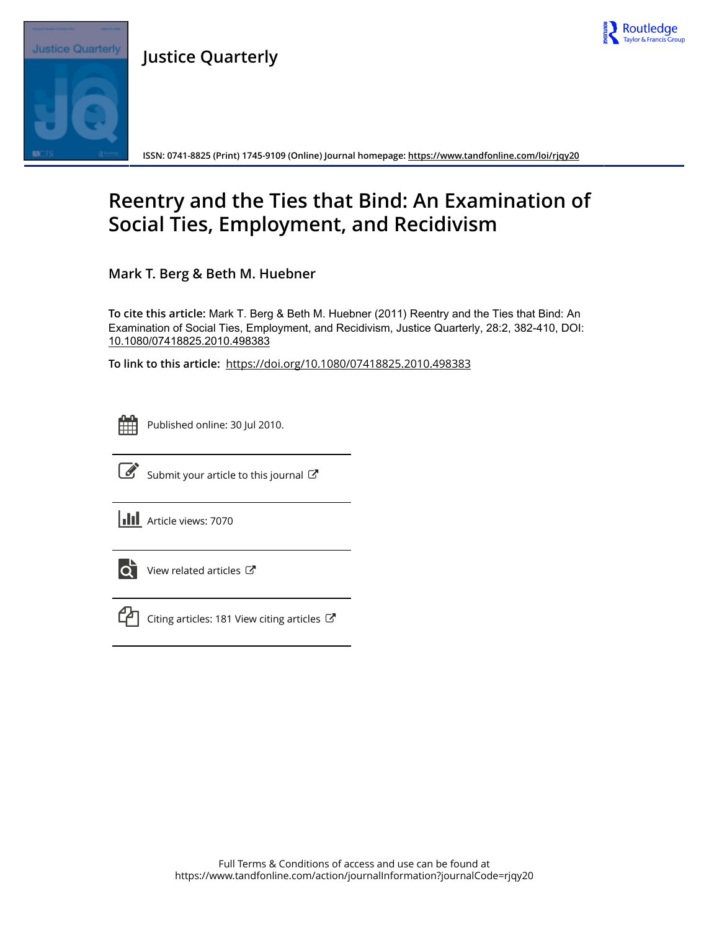

**Justice Quarterly**



**ISSN: 0741-8825 (Print) 1745-9109 (Online) Journal homepage:<https://www.tandfonline.com/loi/rjqy20>**

# **Reentry and the Ties that Bind: An Examination of Social Ties, Employment, and Recidivism**

**Mark T. Berg & Beth M. Huebner**

**To cite this article:** Mark T. Berg & Beth M. Huebner (2011) Reentry and the Ties that Bind: An Examination of Social Ties, Employment, and Recidivism, Justice Quarterly, 28:2, 382-410, DOI: [10.1080/07418825.2010.498383](https://www.tandfonline.com/action/showCitFormats?doi=10.1080/07418825.2010.498383)

**To link to this article:** <https://doi.org/10.1080/07418825.2010.498383>



Published online: 30 Jul 2010.



 $\overrightarrow{S}$  [Submit your article to this journal](https://www.tandfonline.com/action/authorSubmission?journalCode=rjqy20&show=instructions)  $\overrightarrow{S}$ 

**III** Article views: 7070



 $\overrightarrow{O}$  [View related articles](https://www.tandfonline.com/doi/mlt/10.1080/07418825.2010.498383)  $\overrightarrow{C}$ 



 $\mathbb{C}$  [Citing articles: 181 View citing articles](https://www.tandfonline.com/doi/citedby/10.1080/07418825.2010.498383#tabModule)  $\mathbb{C}$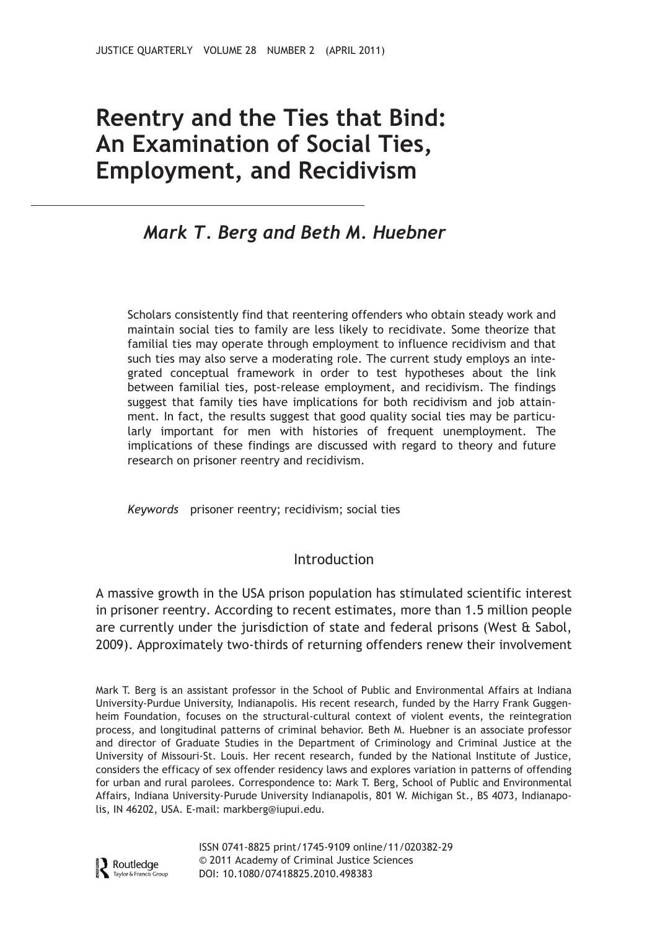## **Reentry and the Ties that Bind: An Examination of Social Ties, Employment, and Recidivism**

## *Mark T. Berg and Beth M. Huebner*

Scholars consistently find that reentering offenders who obtain steady work and maintain social ties to family are less likely to recidivate. Some theorize that familial ties may operate through employment to influence recidivism and that such ties may also serve a moderating role. The current study employs an integrated conceptual framework in order to test hypotheses about the link between familial ties, post-release employment, and recidivism. The findings suggest that family ties have implications for both recidivism and job attainment. In fact, the results suggest that good quality social ties may be particularly important for men with histories of frequent unemployment. The implications of these findings are discussed with regard to theory and future research on prisoner reentry and recidivism.

*Keywords* prisoner reentry; recidivism; social ties

#### Introduction

A massive growth in the USA prison population has stimulated scientific interest in prisoner reentry. According to recent estimates, more than 1.5 million people are currently under the jurisdiction of state and federal prisons (West & Sabol, 2009). Approximately two-thirds of returning offenders renew their involvement

Mark T. Berg is an assistant professor in the School of Public and Environmental Affairs at Indiana University-Purdue University, Indianapolis. His recent research, funded by the Harry Frank Guggenheim Foundation, focuses on the structural-cultural context of violent events, the reintegration process, and longitudinal patterns of criminal behavior. Beth M. Huebner is an associate professor and director of Graduate Studies in the Department of Criminology and Criminal Justice at the University of Missouri-St. Louis. Her recent research, funded by the National Institute of Justice, considers the efficacy of sex offender residency laws and explores variation in patterns of offending for urban and rural parolees. Correspondence to: Mark T. Berg, School of Public and Environmental Affairs, Indiana University-Purude University Indianapolis, 801 W. Michigan St., BS 4073, Indianapolis, IN 46202, USA. E-mail: markberg@iupui.edu.



ISSN 0741-8825 print/1745-9109 online/11/020382-29 © 2011 Academy of Criminal Justice Sciences DOI: 10.1080/07418825.2010.498383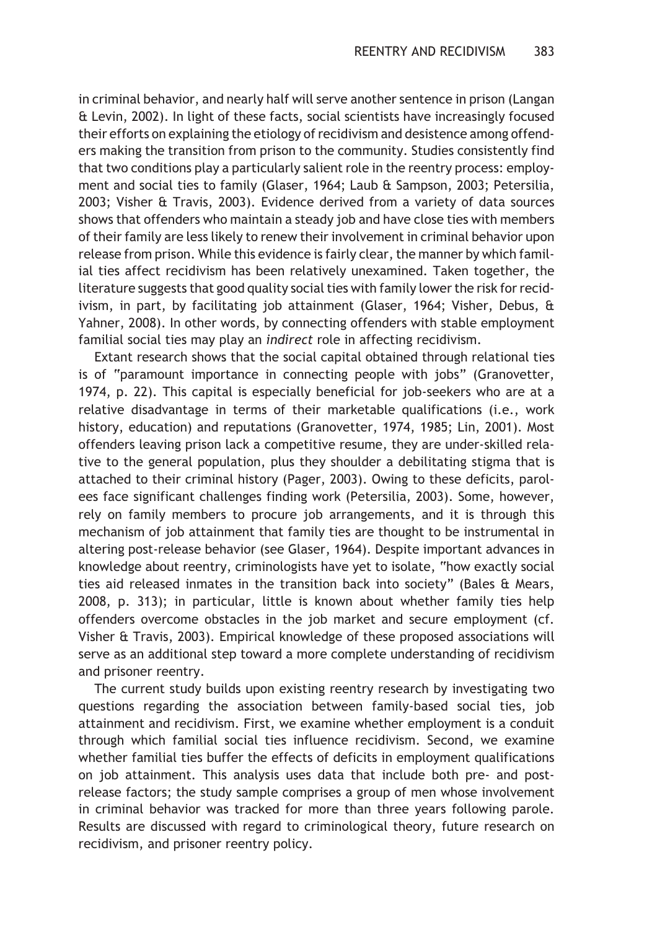in criminal behavior, and nearly half will serve another sentence in prison (Langan & Levin, 2002). In light of these facts, social scientists have increasingly focused their efforts on explaining the etiology of recidivism and desistence among offenders making the transition from prison to the community. Studies consistently find that two conditions play a particularly salient role in the reentry process: employment and social ties to family (Glaser, 1964; Laub & Sampson, 2003; Petersilia, 2003; Visher & Travis, 2003). Evidence derived from a variety of data sources shows that offenders who maintain a steady job and have close ties with members of their family are less likely to renew their involvement in criminal behavior upon release from prison. While this evidence is fairly clear, the manner by which familial ties affect recidivism has been relatively unexamined. Taken together, the literature suggests that good quality social ties with family lower the risk for recidivism, in part, by facilitating job attainment (Glaser, 1964; Visher, Debus, & Yahner, 2008). In other words, by connecting offenders with stable employment familial social ties may play an *indirect* role in affecting recidivism.

Extant research shows that the social capital obtained through relational ties is of "paramount importance in connecting people with jobs" (Granovetter, 1974, p. 22). This capital is especially beneficial for job-seekers who are at a relative disadvantage in terms of their marketable qualifications (i.e., work history, education) and reputations (Granovetter, 1974, 1985; Lin, 2001). Most offenders leaving prison lack a competitive resume, they are under-skilled relative to the general population, plus they shoulder a debilitating stigma that is attached to their criminal history (Pager, 2003). Owing to these deficits, parolees face significant challenges finding work (Petersilia, 2003). Some, however, rely on family members to procure job arrangements, and it is through this mechanism of job attainment that family ties are thought to be instrumental in altering post-release behavior (see Glaser, 1964). Despite important advances in knowledge about reentry, criminologists have yet to isolate, "how exactly social ties aid released inmates in the transition back into society" (Bales & Mears, 2008, p. 313); in particular, little is known about whether family ties help offenders overcome obstacles in the job market and secure employment (cf. Visher & Travis, 2003). Empirical knowledge of these proposed associations will serve as an additional step toward a more complete understanding of recidivism and prisoner reentry.

The current study builds upon existing reentry research by investigating two questions regarding the association between family-based social ties, job attainment and recidivism. First, we examine whether employment is a conduit through which familial social ties influence recidivism. Second, we examine whether familial ties buffer the effects of deficits in employment qualifications on job attainment. This analysis uses data that include both pre- and postrelease factors; the study sample comprises a group of men whose involvement in criminal behavior was tracked for more than three years following parole. Results are discussed with regard to criminological theory, future research on recidivism, and prisoner reentry policy.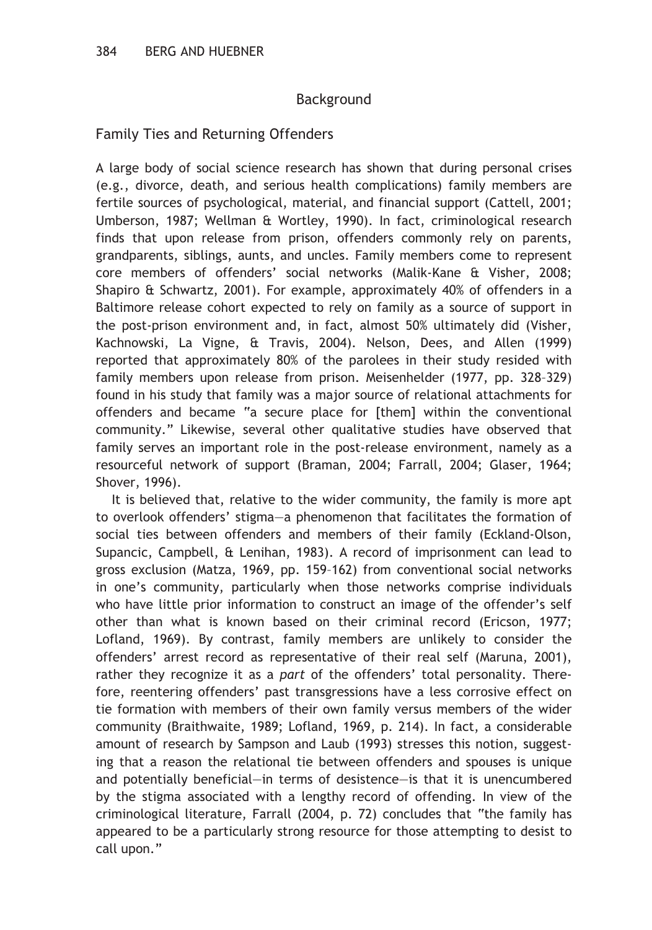## Background

### Family Ties and Returning Offenders

A large body of social science research has shown that during personal crises (e.g., divorce, death, and serious health complications) family members are fertile sources of psychological, material, and financial support (Cattell, 2001; Umberson, 1987; Wellman & Wortley, 1990). In fact, criminological research finds that upon release from prison, offenders commonly rely on parents, grandparents, siblings, aunts, and uncles. Family members come to represent core members of offenders' social networks (Malik-Kane & Visher, 2008; Shapiro & Schwartz, 2001). For example, approximately 40% of offenders in a Baltimore release cohort expected to rely on family as a source of support in the post-prison environment and, in fact, almost 50% ultimately did (Visher, Kachnowski, La Vigne, & Travis, 2004). Nelson, Dees, and Allen (1999) reported that approximately 80% of the parolees in their study resided with family members upon release from prison. Meisenhelder (1977, pp. 328–329) found in his study that family was a major source of relational attachments for offenders and became "a secure place for [them] within the conventional community." Likewise, several other qualitative studies have observed that family serves an important role in the post-release environment, namely as a resourceful network of support (Braman, 2004; Farrall, 2004; Glaser, 1964; Shover, 1996).

It is believed that, relative to the wider community, the family is more apt to overlook offenders' stigma—a phenomenon that facilitates the formation of social ties between offenders and members of their family (Eckland-Olson, Supancic, Campbell, & Lenihan, 1983). A record of imprisonment can lead to gross exclusion (Matza, 1969, pp. 159–162) from conventional social networks in one's community, particularly when those networks comprise individuals who have little prior information to construct an image of the offender's self other than what is known based on their criminal record (Ericson, 1977; Lofland, 1969). By contrast, family members are unlikely to consider the offenders' arrest record as representative of their real self (Maruna, 2001), rather they recognize it as a *part* of the offenders' total personality. Therefore, reentering offenders' past transgressions have a less corrosive effect on tie formation with members of their own family versus members of the wider community (Braithwaite, 1989; Lofland, 1969, p. 214). In fact, a considerable amount of research by Sampson and Laub (1993) stresses this notion, suggesting that a reason the relational tie between offenders and spouses is unique and potentially beneficial—in terms of desistence—is that it is unencumbered by the stigma associated with a lengthy record of offending. In view of the criminological literature, Farrall (2004, p. 72) concludes that "the family has appeared to be a particularly strong resource for those attempting to desist to call upon."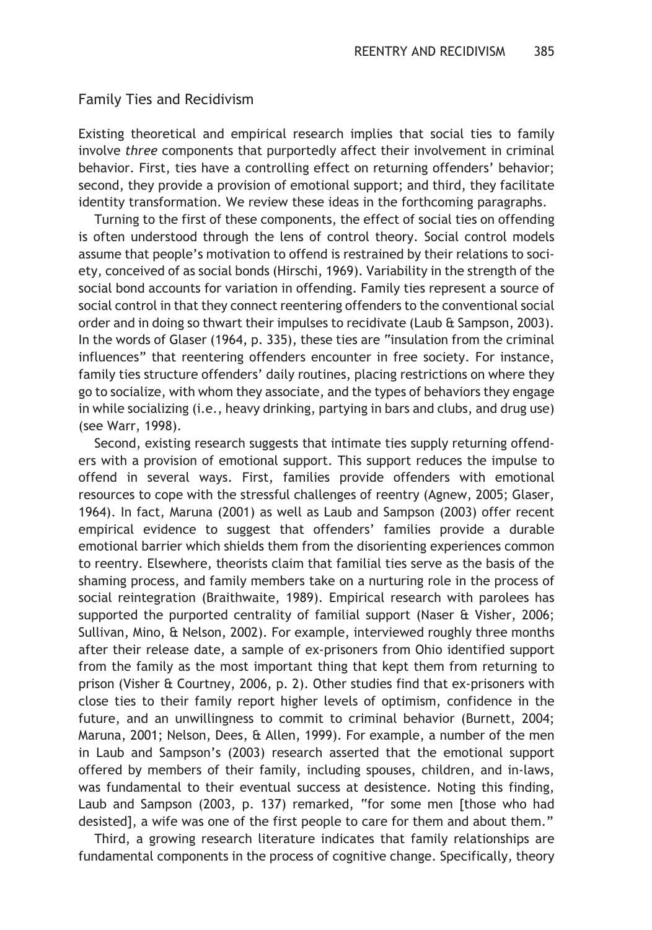#### Family Ties and Recidivism

Existing theoretical and empirical research implies that social ties to family involve *three* components that purportedly affect their involvement in criminal behavior. First, ties have a controlling effect on returning offenders' behavior; second, they provide a provision of emotional support; and third, they facilitate identity transformation. We review these ideas in the forthcoming paragraphs.

Turning to the first of these components, the effect of social ties on offending is often understood through the lens of control theory. Social control models assume that people's motivation to offend is restrained by their relations to society, conceived of as social bonds (Hirschi, 1969). Variability in the strength of the social bond accounts for variation in offending. Family ties represent a source of social control in that they connect reentering offenders to the conventional social order and in doing so thwart their impulses to recidivate (Laub & Sampson, 2003). In the words of Glaser (1964, p. 335), these ties are "insulation from the criminal influences" that reentering offenders encounter in free society. For instance, family ties structure offenders' daily routines, placing restrictions on where they go to socialize, with whom they associate, and the types of behaviors they engage in while socializing (i.e., heavy drinking, partying in bars and clubs, and drug use) (see Warr, 1998).

Second, existing research suggests that intimate ties supply returning offenders with a provision of emotional support. This support reduces the impulse to offend in several ways. First, families provide offenders with emotional resources to cope with the stressful challenges of reentry (Agnew, 2005; Glaser, 1964). In fact, Maruna (2001) as well as Laub and Sampson (2003) offer recent empirical evidence to suggest that offenders' families provide a durable emotional barrier which shields them from the disorienting experiences common to reentry. Elsewhere, theorists claim that familial ties serve as the basis of the shaming process, and family members take on a nurturing role in the process of social reintegration (Braithwaite, 1989). Empirical research with parolees has supported the purported centrality of familial support (Naser & Visher, 2006; Sullivan, Mino, & Nelson, 2002). For example, interviewed roughly three months after their release date, a sample of ex-prisoners from Ohio identified support from the family as the most important thing that kept them from returning to prison (Visher & Courtney, 2006, p. 2). Other studies find that ex-prisoners with close ties to their family report higher levels of optimism, confidence in the future, and an unwillingness to commit to criminal behavior (Burnett, 2004; Maruna, 2001; Nelson, Dees, & Allen, 1999). For example, a number of the men in Laub and Sampson's (2003) research asserted that the emotional support offered by members of their family, including spouses, children, and in-laws, was fundamental to their eventual success at desistence. Noting this finding, Laub and Sampson (2003, p. 137) remarked, "for some men [those who had desisted], a wife was one of the first people to care for them and about them."

Third, a growing research literature indicates that family relationships are fundamental components in the process of cognitive change. Specifically, theory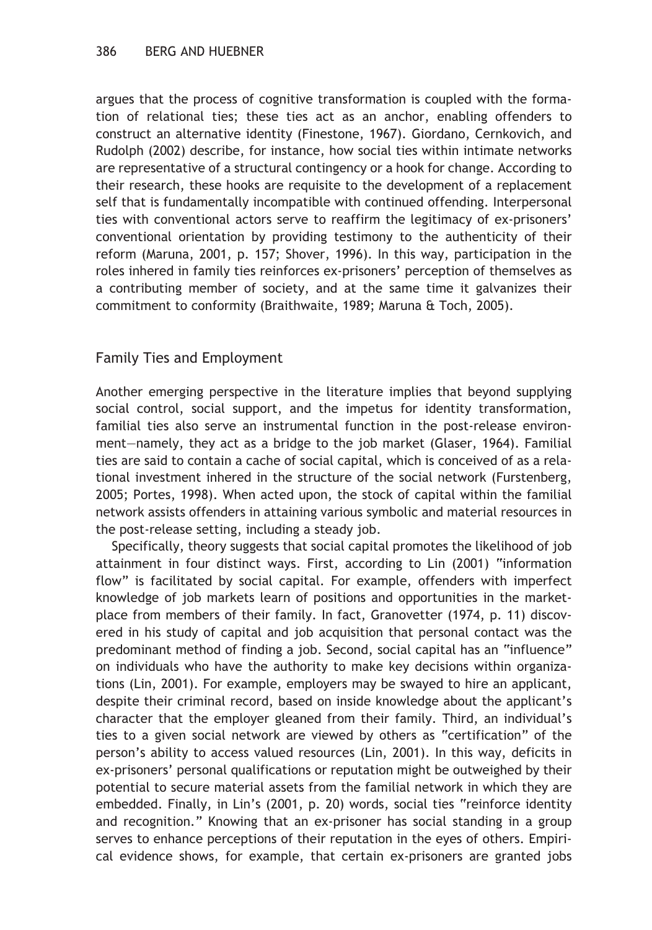argues that the process of cognitive transformation is coupled with the formation of relational ties; these ties act as an anchor, enabling offenders to construct an alternative identity (Finestone, 1967). Giordano, Cernkovich, and Rudolph (2002) describe, for instance, how social ties within intimate networks are representative of a structural contingency or a hook for change. According to their research, these hooks are requisite to the development of a replacement self that is fundamentally incompatible with continued offending. Interpersonal ties with conventional actors serve to reaffirm the legitimacy of ex-prisoners' conventional orientation by providing testimony to the authenticity of their reform (Maruna, 2001, p. 157; Shover, 1996). In this way, participation in the roles inhered in family ties reinforces ex-prisoners' perception of themselves as a contributing member of society, and at the same time it galvanizes their commitment to conformity (Braithwaite, 1989; Maruna & Toch, 2005).

### Family Ties and Employment

Another emerging perspective in the literature implies that beyond supplying social control, social support, and the impetus for identity transformation, familial ties also serve an instrumental function in the post-release environment—namely, they act as a bridge to the job market (Glaser, 1964). Familial ties are said to contain a cache of social capital, which is conceived of as a relational investment inhered in the structure of the social network (Furstenberg, 2005; Portes, 1998). When acted upon, the stock of capital within the familial network assists offenders in attaining various symbolic and material resources in the post-release setting, including a steady job.

Specifically, theory suggests that social capital promotes the likelihood of job attainment in four distinct ways. First, according to Lin (2001) "information flow" is facilitated by social capital. For example, offenders with imperfect knowledge of job markets learn of positions and opportunities in the marketplace from members of their family. In fact, Granovetter (1974, p. 11) discovered in his study of capital and job acquisition that personal contact was the predominant method of finding a job. Second, social capital has an "influence" on individuals who have the authority to make key decisions within organizations (Lin, 2001). For example, employers may be swayed to hire an applicant, despite their criminal record, based on inside knowledge about the applicant's character that the employer gleaned from their family. Third, an individual's ties to a given social network are viewed by others as "certification" of the person's ability to access valued resources (Lin, 2001). In this way, deficits in ex-prisoners' personal qualifications or reputation might be outweighed by their potential to secure material assets from the familial network in which they are embedded. Finally, in Lin's (2001, p. 20) words, social ties "reinforce identity and recognition." Knowing that an ex-prisoner has social standing in a group serves to enhance perceptions of their reputation in the eyes of others. Empirical evidence shows, for example, that certain ex-prisoners are granted jobs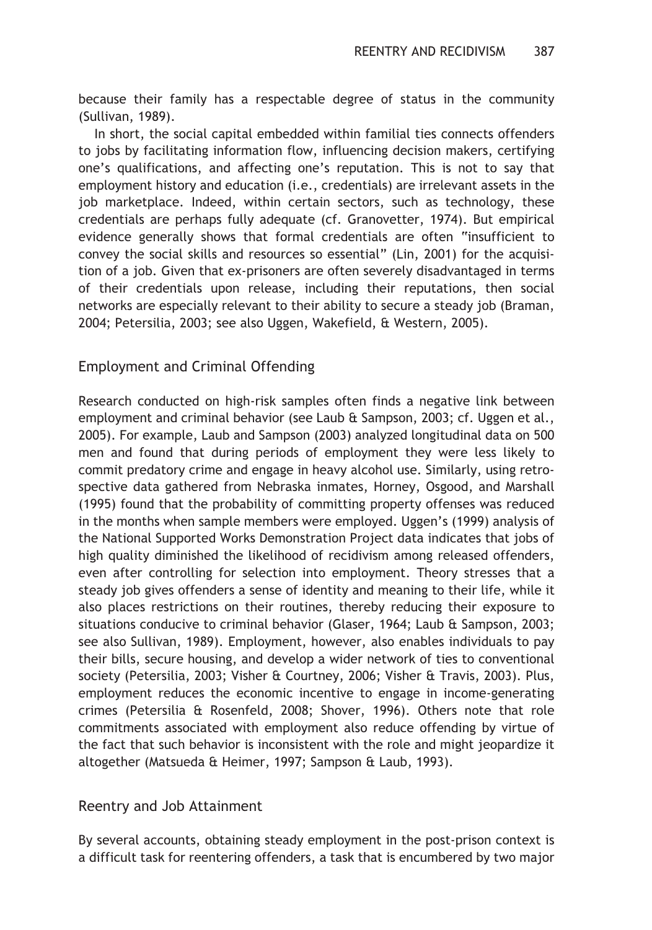because their family has a respectable degree of status in the community (Sullivan, 1989).

In short, the social capital embedded within familial ties connects offenders to jobs by facilitating information flow, influencing decision makers, certifying one's qualifications, and affecting one's reputation. This is not to say that employment history and education (i.e., credentials) are irrelevant assets in the job marketplace. Indeed, within certain sectors, such as technology, these credentials are perhaps fully adequate (cf. Granovetter, 1974). But empirical evidence generally shows that formal credentials are often "insufficient to convey the social skills and resources so essential" (Lin, 2001) for the acquisition of a job. Given that ex-prisoners are often severely disadvantaged in terms of their credentials upon release, including their reputations, then social networks are especially relevant to their ability to secure a steady job (Braman, 2004; Petersilia, 2003; see also Uggen, Wakefield, & Western, 2005).

#### Employment and Criminal Offending

Research conducted on high-risk samples often finds a negative link between employment and criminal behavior (see Laub & Sampson, 2003; cf. Uggen et al., 2005). For example, Laub and Sampson (2003) analyzed longitudinal data on 500 men and found that during periods of employment they were less likely to commit predatory crime and engage in heavy alcohol use. Similarly, using retrospective data gathered from Nebraska inmates, Horney, Osgood, and Marshall (1995) found that the probability of committing property offenses was reduced in the months when sample members were employed. Uggen's (1999) analysis of the National Supported Works Demonstration Project data indicates that jobs of high quality diminished the likelihood of recidivism among released offenders, even after controlling for selection into employment. Theory stresses that a steady job gives offenders a sense of identity and meaning to their life, while it also places restrictions on their routines, thereby reducing their exposure to situations conducive to criminal behavior (Glaser, 1964; Laub & Sampson, 2003; see also Sullivan, 1989). Employment, however, also enables individuals to pay their bills, secure housing, and develop a wider network of ties to conventional society (Petersilia, 2003; Visher & Courtney, 2006; Visher & Travis, 2003). Plus, employment reduces the economic incentive to engage in income-generating crimes (Petersilia & Rosenfeld, 2008; Shover, 1996). Others note that role commitments associated with employment also reduce offending by virtue of the fact that such behavior is inconsistent with the role and might jeopardize it altogether (Matsueda & Heimer, 1997; Sampson & Laub, 1993).

#### Reentry and Job Attainment

By several accounts, obtaining steady employment in the post-prison context is a difficult task for reentering offenders, a task that is encumbered by two major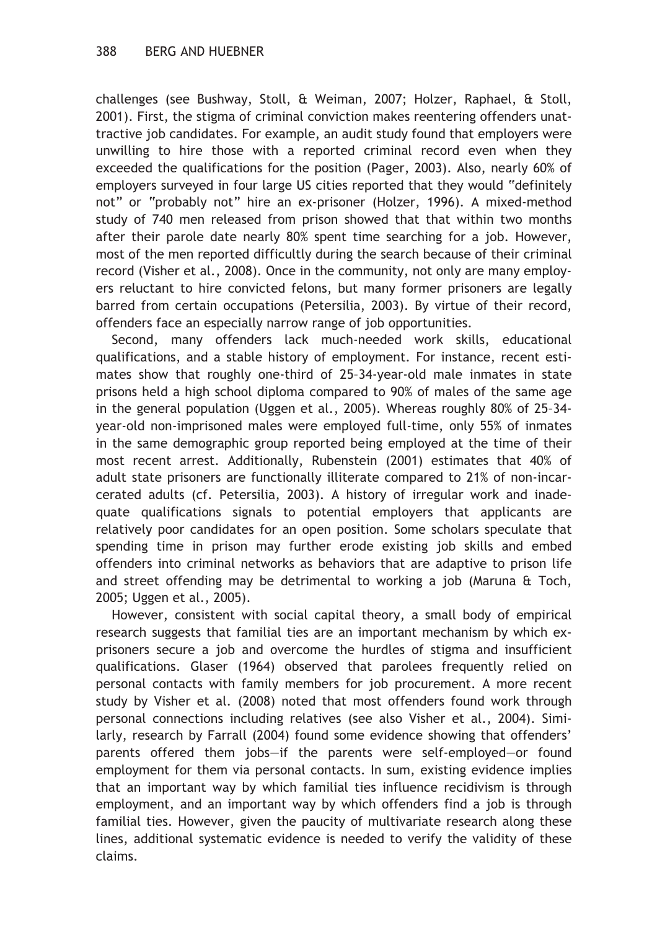challenges (see Bushway, Stoll, & Weiman, 2007; Holzer, Raphael, & Stoll, 2001). First, the stigma of criminal conviction makes reentering offenders unattractive job candidates. For example, an audit study found that employers were unwilling to hire those with a reported criminal record even when they exceeded the qualifications for the position (Pager, 2003). Also, nearly 60% of employers surveyed in four large US cities reported that they would "definitely not" or "probably not" hire an ex-prisoner (Holzer, 1996). A mixed-method study of 740 men released from prison showed that that within two months after their parole date nearly 80% spent time searching for a job. However, most of the men reported difficultly during the search because of their criminal record (Visher et al., 2008). Once in the community, not only are many employers reluctant to hire convicted felons, but many former prisoners are legally barred from certain occupations (Petersilia, 2003). By virtue of their record, offenders face an especially narrow range of job opportunities.

Second, many offenders lack much-needed work skills, educational qualifications, and a stable history of employment. For instance, recent estimates show that roughly one-third of 25–34-year-old male inmates in state prisons held a high school diploma compared to 90% of males of the same age in the general population (Uggen et al., 2005). Whereas roughly 80% of 25–34 year-old non-imprisoned males were employed full-time, only 55% of inmates in the same demographic group reported being employed at the time of their most recent arrest. Additionally, Rubenstein (2001) estimates that 40% of adult state prisoners are functionally illiterate compared to 21% of non-incarcerated adults (cf. Petersilia, 2003). A history of irregular work and inadequate qualifications signals to potential employers that applicants are relatively poor candidates for an open position. Some scholars speculate that spending time in prison may further erode existing job skills and embed offenders into criminal networks as behaviors that are adaptive to prison life and street offending may be detrimental to working a job (Maruna & Toch, 2005; Uggen et al., 2005).

However, consistent with social capital theory, a small body of empirical research suggests that familial ties are an important mechanism by which exprisoners secure a job and overcome the hurdles of stigma and insufficient qualifications. Glaser (1964) observed that parolees frequently relied on personal contacts with family members for job procurement. A more recent study by Visher et al. (2008) noted that most offenders found work through personal connections including relatives (see also Visher et al., 2004). Similarly, research by Farrall (2004) found some evidence showing that offenders' parents offered them jobs—if the parents were self-employed—or found employment for them via personal contacts. In sum, existing evidence implies that an important way by which familial ties influence recidivism is through employment, and an important way by which offenders find a job is through familial ties. However, given the paucity of multivariate research along these lines, additional systematic evidence is needed to verify the validity of these claims.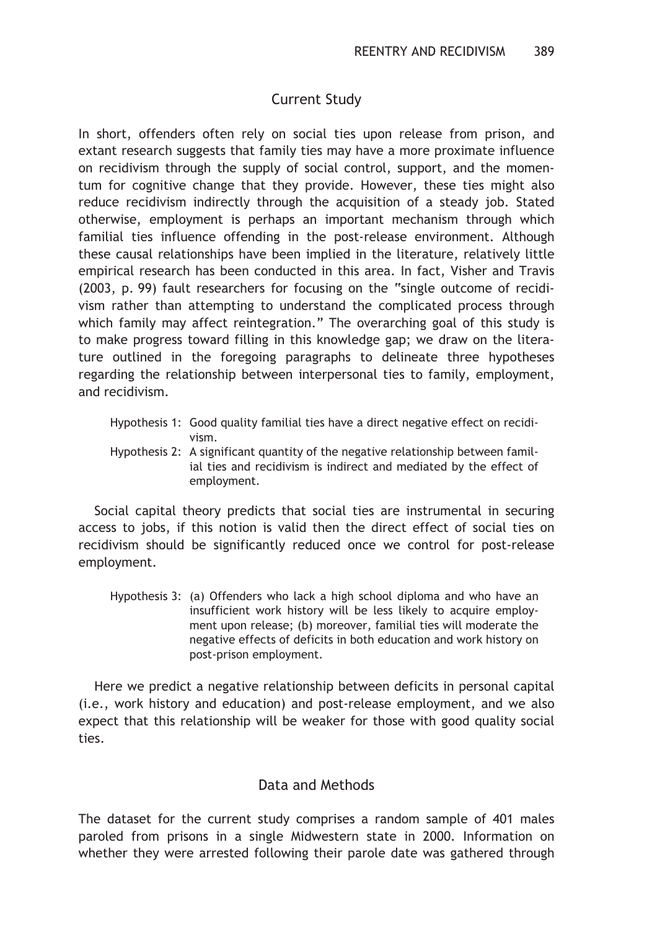## Current Study

In short, offenders often rely on social ties upon release from prison, and extant research suggests that family ties may have a more proximate influence on recidivism through the supply of social control, support, and the momentum for cognitive change that they provide. However, these ties might also reduce recidivism indirectly through the acquisition of a steady job. Stated otherwise, employment is perhaps an important mechanism through which familial ties influence offending in the post-release environment. Although these causal relationships have been implied in the literature, relatively little empirical research has been conducted in this area. In fact, Visher and Travis (2003, p. 99) fault researchers for focusing on the "single outcome of recidivism rather than attempting to understand the complicated process through which family may affect reintegration." The overarching goal of this study is to make progress toward filling in this knowledge gap; we draw on the literature outlined in the foregoing paragraphs to delineate three hypotheses regarding the relationship between interpersonal ties to family, employment, and recidivism.

- Hypothesis 1: Good quality familial ties have a direct negative effect on recidivism.
- Hypothesis 2: A significant quantity of the negative relationship between familial ties and recidivism is indirect and mediated by the effect of employment.

Social capital theory predicts that social ties are instrumental in securing access to jobs, if this notion is valid then the direct effect of social ties on recidivism should be significantly reduced once we control for post-release employment.

Hypothesis 3: (a) Offenders who lack a high school diploma and who have an insufficient work history will be less likely to acquire employment upon release; (b) moreover, familial ties will moderate the negative effects of deficits in both education and work history on post-prison employment.

Here we predict a negative relationship between deficits in personal capital (i.e., work history and education) and post-release employment, and we also expect that this relationship will be weaker for those with good quality social ties.

#### Data and Methods

The dataset for the current study comprises a random sample of 401 males paroled from prisons in a single Midwestern state in 2000. Information on whether they were arrested following their parole date was gathered through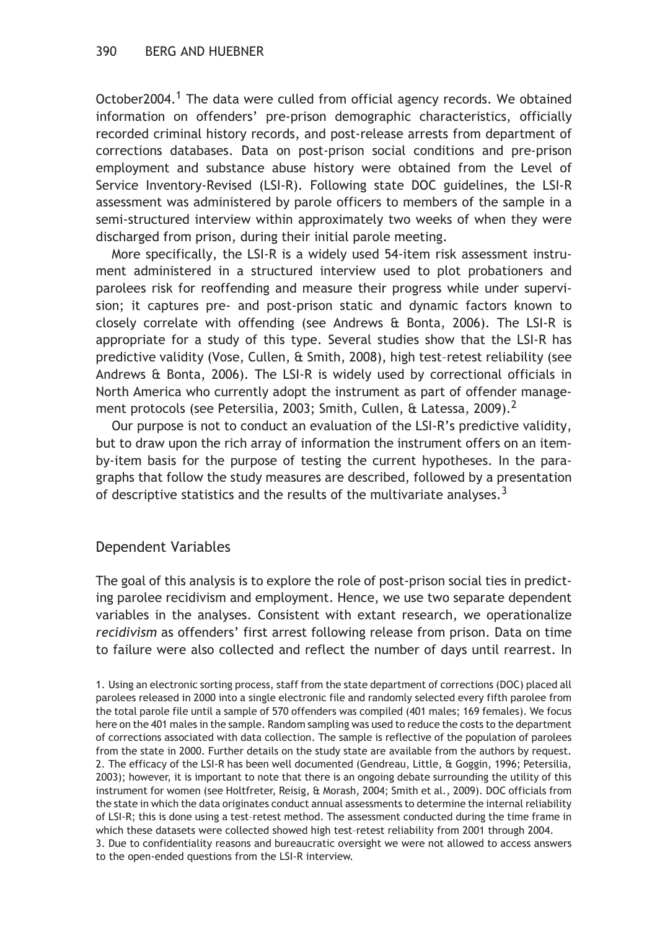October2004.<sup>1</sup> The data were culled from official agency records. We obtained information on offenders' pre-prison demographic characteristics, officially recorded criminal history records, and post-release arrests from department of corrections databases. Data on post-prison social conditions and pre-prison employment and substance abuse history were obtained from the Level of Service Inventory-Revised (LSI-R). Following state DOC guidelines, the LSI-R assessment was administered by parole officers to members of the sample in a semi-structured interview within approximately two weeks of when they were discharged from prison, during their initial parole meeting.

More specifically, the LSI-R is a widely used 54-item risk assessment instrument administered in a structured interview used to plot probationers and parolees risk for reoffending and measure their progress while under supervision; it captures pre- and post-prison static and dynamic factors known to closely correlate with offending (see Andrews & Bonta, 2006). The LSI-R is appropriate for a study of this type. Several studies show that the LSI-R has predictive validity (Vose, Cullen, & Smith, 2008), high test–retest reliability (see Andrews & Bonta, 2006). The LSI-R is widely used by correctional officials in North America who currently adopt the instrument as part of offender management protocols (see Petersilia, 2003; Smith, Cullen, & Latessa, 2009).<sup>2</sup>

Our purpose is not to conduct an evaluation of the LSI-R's predictive validity, but to draw upon the rich array of information the instrument offers on an itemby-item basis for the purpose of testing the current hypotheses. In the paragraphs that follow the study measures are described, followed by a presentation of descriptive statistics and the results of the multivariate analyses. $3$ 

## Dependent Variables

The goal of this analysis is to explore the role of post-prison social ties in predicting parolee recidivism and employment. Hence, we use two separate dependent variables in the analyses. Consistent with extant research, we operationalize *recidivism* as offenders' first arrest following release from prison. Data on time to failure were also collected and reflect the number of days until rearrest. In

1. Using an electronic sorting process, staff from the state department of corrections (DOC) placed all parolees released in 2000 into a single electronic file and randomly selected every fifth parolee from the total parole file until a sample of 570 offenders was compiled (401 males; 169 females). We focus here on the 401 males in the sample. Random sampling was used to reduce the costs to the department of corrections associated with data collection. The sample is reflective of the population of parolees from the state in 2000. Further details on the study state are available from the authors by request. 2. The efficacy of the LSI-R has been well documented (Gendreau, Little, & Goggin, 1996; Petersilia, 2003); however, it is important to note that there is an ongoing debate surrounding the utility of this instrument for women (see Holtfreter, Reisig, & Morash, 2004; Smith et al., 2009). DOC officials from the state in which the data originates conduct annual assessments to determine the internal reliability of LSI-R; this is done using a test–retest method. The assessment conducted during the time frame in which these datasets were collected showed high test–retest reliability from 2001 through 2004. 3. Due to confidentiality reasons and bureaucratic oversight we were not allowed to access answers

to the open-ended questions from the LSI-R interview.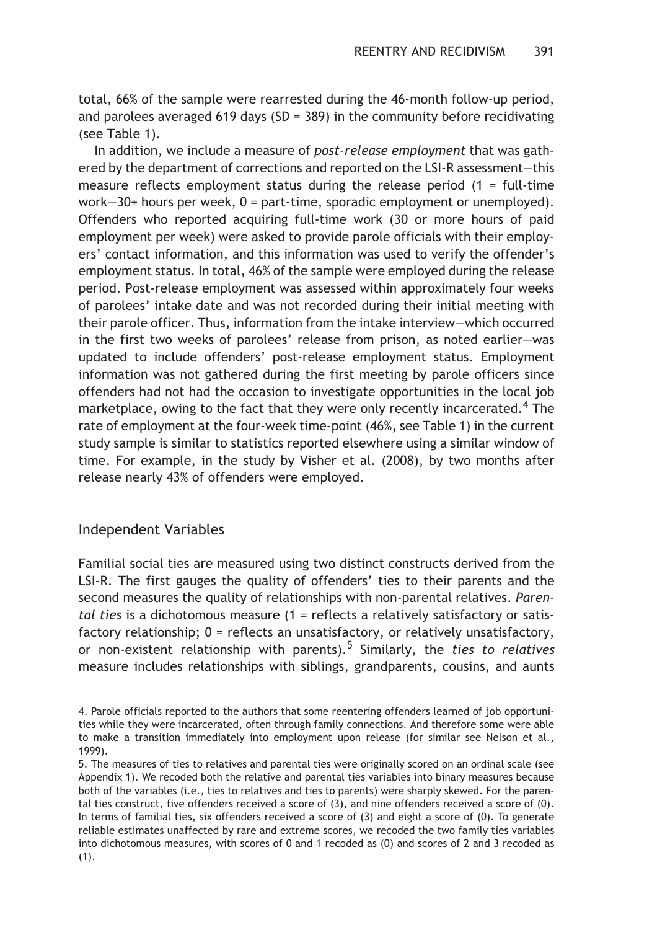total, 66% of the sample were rearrested during the 46-month follow-up period, and parolees averaged 619 days ( $SD = 389$ ) in the community before recidivating (see Table 1).

In addition, we include a measure of *post-release employment* that was gathered by the department of corrections and reported on the LSI-R assessment—this measure reflects employment status during the release period  $(1 = full-time$ work—30+ hours per week, 0 = part-time, sporadic employment or unemployed). Offenders who reported acquiring full-time work (30 or more hours of paid employment per week) were asked to provide parole officials with their employers' contact information, and this information was used to verify the offender's employment status. In total, 46% of the sample were employed during the release period. Post-release employment was assessed within approximately four weeks of parolees' intake date and was not recorded during their initial meeting with their parole officer. Thus, information from the intake interview—which occurred in the first two weeks of parolees' release from prison, as noted earlier—was updated to include offenders' post-release employment status. Employment information was not gathered during the first meeting by parole officers since offenders had not had the occasion to investigate opportunities in the local job marketplace, owing to the fact that they were only recently incarcerated.<sup>4</sup> The rate of employment at the four-week time-point (46%, see Table 1) in the current study sample is similar to statistics reported elsewhere using a similar window of time. For example, in the study by Visher et al. (2008), by two months after release nearly 43% of offenders were employed.

#### Independent Variables

Familial social ties are measured using two distinct constructs derived from the LSI-R. The first gauges the quality of offenders' ties to their parents and the second measures the quality of relationships with non-parental relatives. *Parental ties* is a dichotomous measure (1 = reflects a relatively satisfactory or satisfactory relationship; 0 = reflects an unsatisfactory, or relatively unsatisfactory, or non-existent relationship with parents).<sup>5</sup> Similarly, the *ties to relatives* measure includes relationships with siblings, grandparents, cousins, and aunts

<sup>4.</sup> Parole officials reported to the authors that some reentering offenders learned of job opportunities while they were incarcerated, often through family connections. And therefore some were able to make a transition immediately into employment upon release (for similar see Nelson et al., 1999).

<sup>5.</sup> The measures of ties to relatives and parental ties were originally scored on an ordinal scale (see Appendix 1). We recoded both the relative and parental ties variables into binary measures because both of the variables (i.e., ties to relatives and ties to parents) were sharply skewed. For the parental ties construct, five offenders received a score of (3), and nine offenders received a score of (0). In terms of familial ties, six offenders received a score of (3) and eight a score of (0). To generate reliable estimates unaffected by rare and extreme scores, we recoded the two family ties variables into dichotomous measures, with scores of 0 and 1 recoded as (0) and scores of 2 and 3 recoded as  $(1).$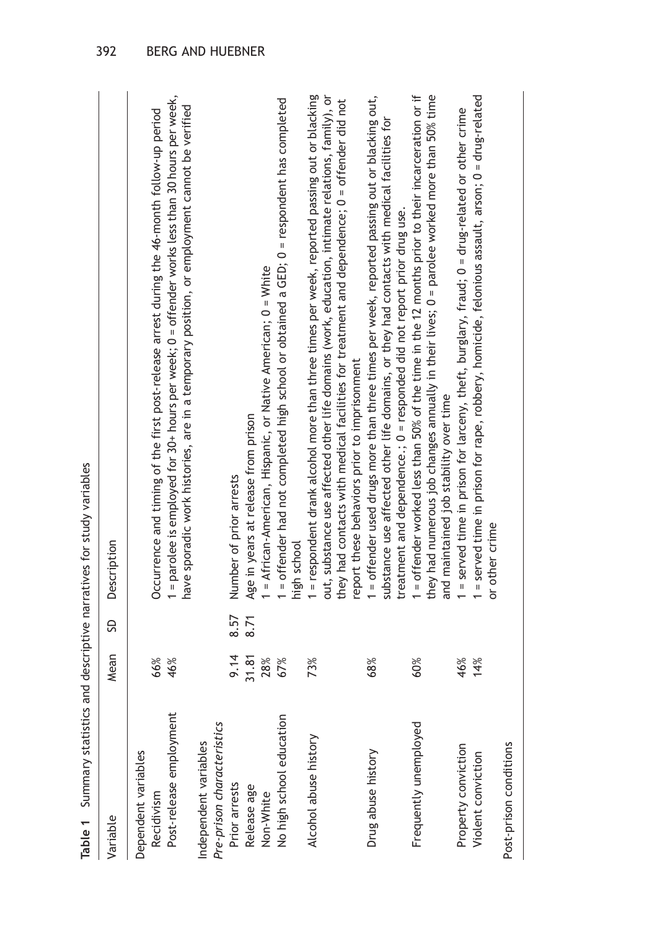| Summary statistics and<br>Table 1                   |       |      | descriptive narratives for study variables                                                                                                                                                                                                       |
|-----------------------------------------------------|-------|------|--------------------------------------------------------------------------------------------------------------------------------------------------------------------------------------------------------------------------------------------------|
| Variable                                            | Mean  | SD   | Description                                                                                                                                                                                                                                      |
| Dependent variables<br>Recidivism                   | 66%   |      | Occurrence and timing of the first post-release arrest during the 46-month follow-up period                                                                                                                                                      |
| Post-release employment                             | 46%   |      | 1 = parolee is employed for 30+ hours per week; 0 = offender works less than 30 hours per week,<br>have sporadic work histories, are in a temporary position, or employment cannot be verified                                                   |
| Pre-prison characteristics<br>Independent variables |       |      |                                                                                                                                                                                                                                                  |
| Prior arrests                                       | 9.14  | 8.57 | Number of prior arrests                                                                                                                                                                                                                          |
| Release age                                         | 31.81 | 8.71 | Age in years at release from prison                                                                                                                                                                                                              |
| Non-White                                           | 28%   |      | = African-American, Hispanic, or Native American; 0 = White                                                                                                                                                                                      |
| No high school education                            | 67%   |      | offender had not completed high school or obtained a GED; 0 = respondent has completed<br>high school                                                                                                                                            |
| Alcohol abuse history                               | 73%   |      | = respondent drank alcohol more than three times per week, reported passing out or blacking                                                                                                                                                      |
|                                                     |       |      | out, substance use affected other life domains (work, education, intimate relations, family), or<br>they had contacts with medical facilities for treatment and dependence; 0 = offender did not<br>report these behaviors prior to imprisonment |
| Drug abuse history                                  | 68%   |      | 1 = offender used drugs more than three times per week, reported passing out or blacking out,                                                                                                                                                    |
|                                                     |       |      | substance use affected other life domains, or they had contacts with medical facilities for<br>treatment and dependence.; 0 = responded did not report prior drug use.                                                                           |
| Frequently unemployed                               | 60%   |      | 1 = offender worked less than 50% of the time in the 12 months prior to their incarceration or if<br>they had numerous job changes annually in their lives; 0 = parolee worked more than 50% time<br>and maintained job stability over time      |
| Property conviction                                 | 46%   |      | served time in prison for larceny, theft, burglary, fraud; 0 = drug-related or other crime                                                                                                                                                       |
| Violent conviction                                  | 14%   |      | = served time in prison for rape, robbery, homicide, felonious assault, arson; 0 = drug-related                                                                                                                                                  |
| Post-prison conditions                              |       |      | or other crime                                                                                                                                                                                                                                   |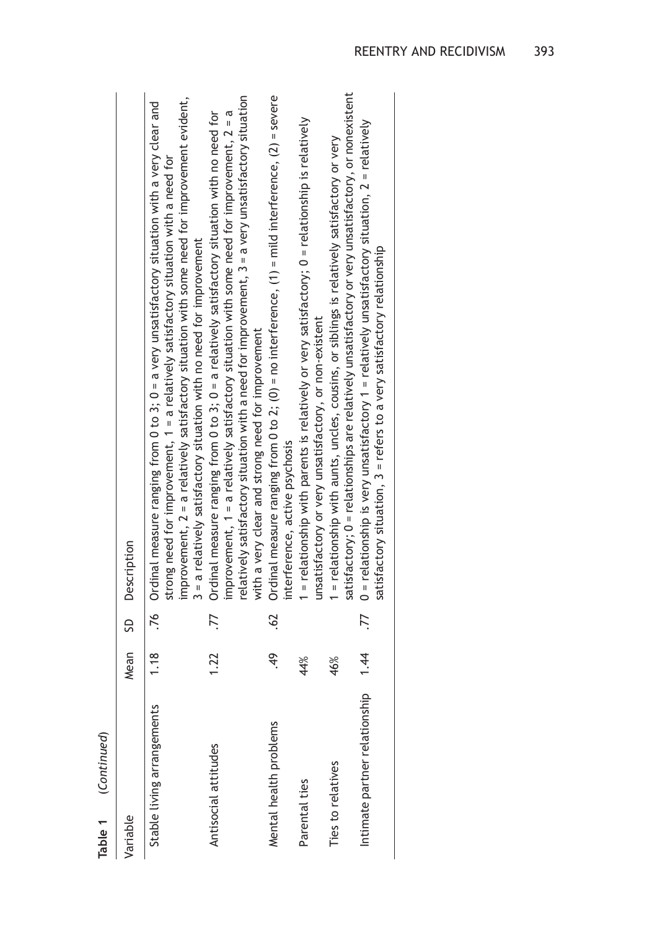| (Continued)<br>Table 1        |             |                |                                                                                                                                                                                                                                                                                                                                                                  |
|-------------------------------|-------------|----------------|------------------------------------------------------------------------------------------------------------------------------------------------------------------------------------------------------------------------------------------------------------------------------------------------------------------------------------------------------------------|
| Variable                      | Mean        |                | SD Description                                                                                                                                                                                                                                                                                                                                                   |
| Stable living arrangements    | 1.18        | .76            | improvement, $2$ = a relatively satisfactory situation with some need for improvement evident,<br>Ordinal measure ranging from 0 to 3; 0 = a very unsatisfactory situation with a very clear and<br>strong need for improvement, 1 = a relatively satisfactory situation with a need for<br>3 = a relatively satisfactory situation with no need for improvement |
| Antisocial attitudes          | 1.22        | 77.            | relatively satisfactory situation with a need for improvement, $3$ = a very unsatisfactory situation<br>Ordinal measure ranging from 0 to 3; 0 = a relatively satisfactory situation with no need for<br>improvement, 1 = a relatively satisfactory situation with some need for improvement, 2 =<br>with a very clear and strong need for improvement           |
| Mental health problems        | $rac{4}{3}$ | $\ddot{\circ}$ | Ordinal measure ranging from 0 to 2; (0) = no interference, (1) = mild interference, (2) = severe<br>interference, active psychosis                                                                                                                                                                                                                              |
| Parental ties                 | 44%         |                | 1 = relationship with parents is relatively or very satisfactory; 0 = relationship is relatively<br>unsatisfactory or very unsatisfactory, or non-existent                                                                                                                                                                                                       |
| Ties to relatives             | 46%         |                | satisfactory; $0$ = relationships are relatively unsatisfactory or very unsatisfactory, or nonexistent<br>1 = relationship with aunts, uncles, cousins, or siblings is relatively satisfactory or very                                                                                                                                                           |
| Intimate partner relationship | 1.44        | 77.            | $0$ = relationship is very unsatisfactory 1 = relatively unsatisfactory situation, 2 = relatively<br>satisfactory situation, 3 = refers to a very satisfactory relationship                                                                                                                                                                                      |
|                               |             |                |                                                                                                                                                                                                                                                                                                                                                                  |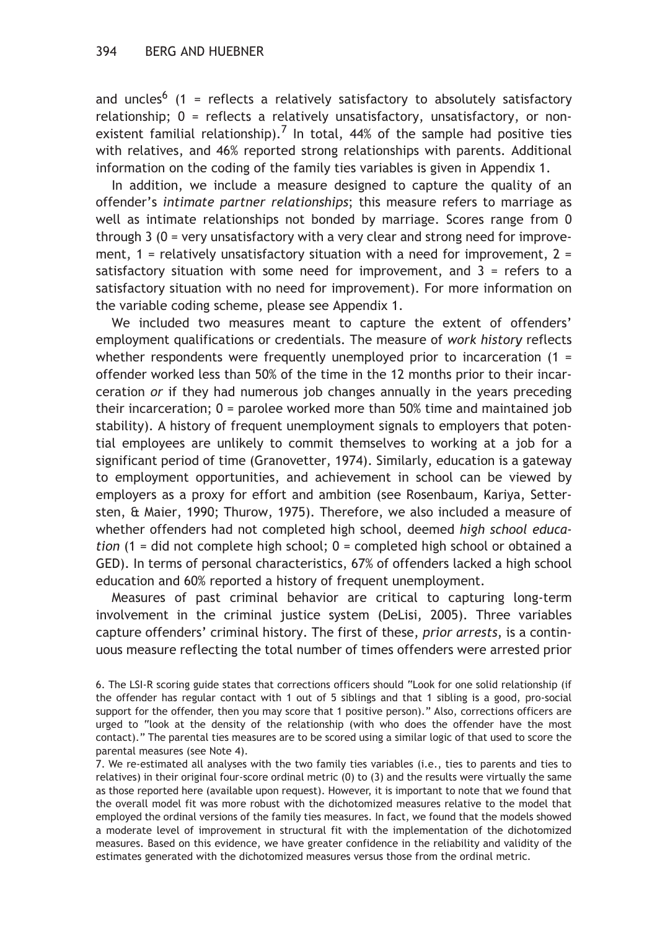and uncles<sup>6</sup> (1 = reflects a relatively satisfactory to absolutely satisfactory relationship; 0 = reflects a relatively unsatisfactory, unsatisfactory, or nonexistent familial relationship).<sup>7</sup> In total, 44% of the sample had positive ties with relatives, and 46% reported strong relationships with parents. Additional information on the coding of the family ties variables is given in Appendix 1.

In addition, we include a measure designed to capture the quality of an offender's *intimate partner relationships*; this measure refers to marriage as well as intimate relationships not bonded by marriage. Scores range from 0 through 3 (0 = very unsatisfactory with a very clear and strong need for improvement,  $1$  = relatively unsatisfactory situation with a need for improvement,  $2$  = satisfactory situation with some need for improvement, and 3 = refers to a satisfactory situation with no need for improvement). For more information on the variable coding scheme, please see Appendix 1.

We included two measures meant to capture the extent of offenders' employment qualifications or credentials. The measure of *work history* reflects whether respondents were frequently unemployed prior to incarceration  $(1 =$ offender worked less than 50% of the time in the 12 months prior to their incarceration *or* if they had numerous job changes annually in the years preceding their incarceration; 0 = parolee worked more than 50% time and maintained job stability). A history of frequent unemployment signals to employers that potential employees are unlikely to commit themselves to working at a job for a significant period of time (Granovetter, 1974). Similarly, education is a gateway to employment opportunities, and achievement in school can be viewed by employers as a proxy for effort and ambition (see Rosenbaum, Kariya, Settersten, & Maier, 1990; Thurow, 1975). Therefore, we also included a measure of whether offenders had not completed high school, deemed *high school education* (1 = did not complete high school; 0 = completed high school or obtained a GED). In terms of personal characteristics, 67% of offenders lacked a high school education and 60% reported a history of frequent unemployment.

Measures of past criminal behavior are critical to capturing long-term involvement in the criminal justice system (DeLisi, 2005). Three variables capture offenders' criminal history. The first of these, *prior arrests*, is a continuous measure reflecting the total number of times offenders were arrested prior

<sup>6.</sup> The LSI-R scoring guide states that corrections officers should "Look for one solid relationship (if the offender has regular contact with 1 out of 5 siblings and that 1 sibling is a good, pro-social support for the offender, then you may score that 1 positive person)." Also, corrections officers are urged to "look at the density of the relationship (with who does the offender have the most contact)." The parental ties measures are to be scored using a similar logic of that used to score the parental measures (see Note 4).

<sup>7.</sup> We re-estimated all analyses with the two family ties variables (i.e., ties to parents and ties to relatives) in their original four-score ordinal metric (0) to (3) and the results were virtually the same as those reported here (available upon request). However, it is important to note that we found that the overall model fit was more robust with the dichotomized measures relative to the model that employed the ordinal versions of the family ties measures. In fact, we found that the models showed a moderate level of improvement in structural fit with the implementation of the dichotomized measures. Based on this evidence, we have greater confidence in the reliability and validity of the estimates generated with the dichotomized measures versus those from the ordinal metric.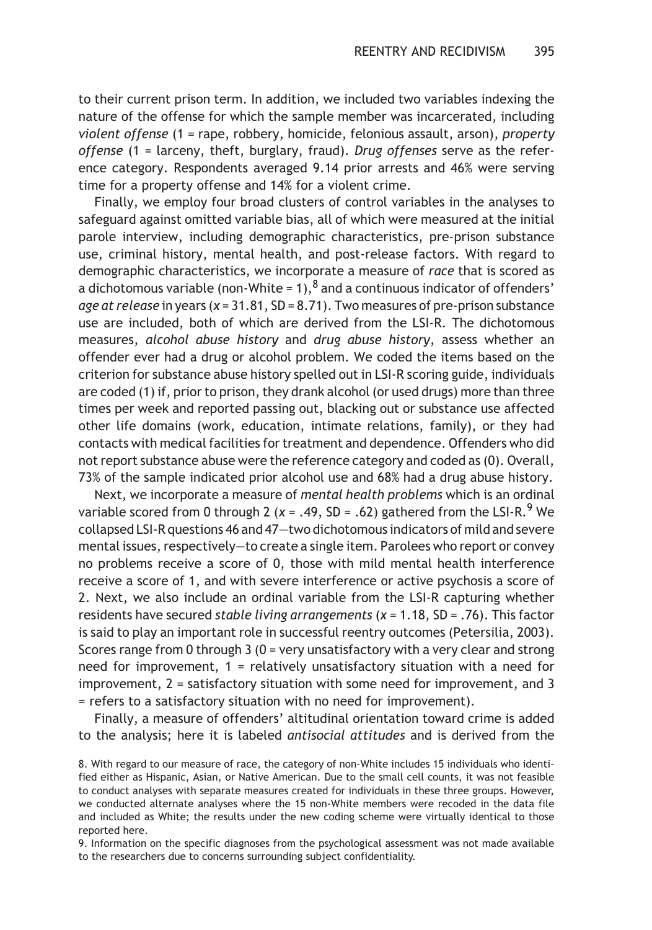to their current prison term. In addition, we included two variables indexing the nature of the offense for which the sample member was incarcerated, including *violent offense* (1 = rape, robbery, homicide, felonious assault, arson), *property offense* (1 = larceny, theft, burglary, fraud). *Drug offenses* serve as the reference category. Respondents averaged 9.14 prior arrests and 46% were serving time for a property offense and 14% for a violent crime.

Finally, we employ four broad clusters of control variables in the analyses to safeguard against omitted variable bias, all of which were measured at the initial parole interview, including demographic characteristics, pre-prison substance use, criminal history, mental health, and post-release factors. With regard to demographic characteristics, we incorporate a measure of *race* that is scored as a dichotomous variable (non-White = 1),  $^8$  and a continuous indicator of offenders' *age at release* in years (*x* = 31.81, SD = 8.71). Two measures of pre-prison substance use are included, both of which are derived from the LSI-R. The dichotomous measures, *alcohol abuse history* and *drug abuse history*, assess whether an offender ever had a drug or alcohol problem. We coded the items based on the criterion for substance abuse history spelled out in LSI-R scoring guide, individuals are coded (1) if, prior to prison, they drank alcohol (or used drugs) more than three times per week and reported passing out, blacking out or substance use affected other life domains (work, education, intimate relations, family), or they had contacts with medical facilities for treatment and dependence. Offenders who did not report substance abuse were the reference category and coded as (0). Overall, 73% of the sample indicated prior alcohol use and 68% had a drug abuse history.

Next, we incorporate a measure of *mental health problems* which is an ordinal variable scored from 0 through 2 ( $x = .49$ , SD = .62) gathered from the LSI-R.<sup>9</sup> We collapsed LSI-R questions 46 and 47—two dichotomous indicators of mild and severe mental issues, respectively—to create a single item. Parolees who report or convey no problems receive a score of 0, those with mild mental health interference receive a score of 1, and with severe interference or active psychosis a score of 2. Next, we also include an ordinal variable from the LSI-R capturing whether residents have secured *stable living arrangements* (*x* = 1.18, SD = .76). This factor is said to play an important role in successful reentry outcomes (Petersilia, 2003). Scores range from 0 through 3 (0 = very unsatisfactory with a very clear and strong need for improvement, 1 = relatively unsatisfactory situation with a need for improvement, 2 = satisfactory situation with some need for improvement, and 3 = refers to a satisfactory situation with no need for improvement).

Finally, a measure of offenders' altitudinal orientation toward crime is added to the analysis; here it is labeled *antisocial attitudes* and is derived from the

<sup>8.</sup> With regard to our measure of race, the category of non-White includes 15 individuals who identified either as Hispanic, Asian, or Native American. Due to the small cell counts, it was not feasible to conduct analyses with separate measures created for individuals in these three groups. However, we conducted alternate analyses where the 15 non-White members were recoded in the data file and included as White; the results under the new coding scheme were virtually identical to those reported here.

<sup>9.</sup> Information on the specific diagnoses from the psychological assessment was not made available to the researchers due to concerns surrounding subject confidentiality.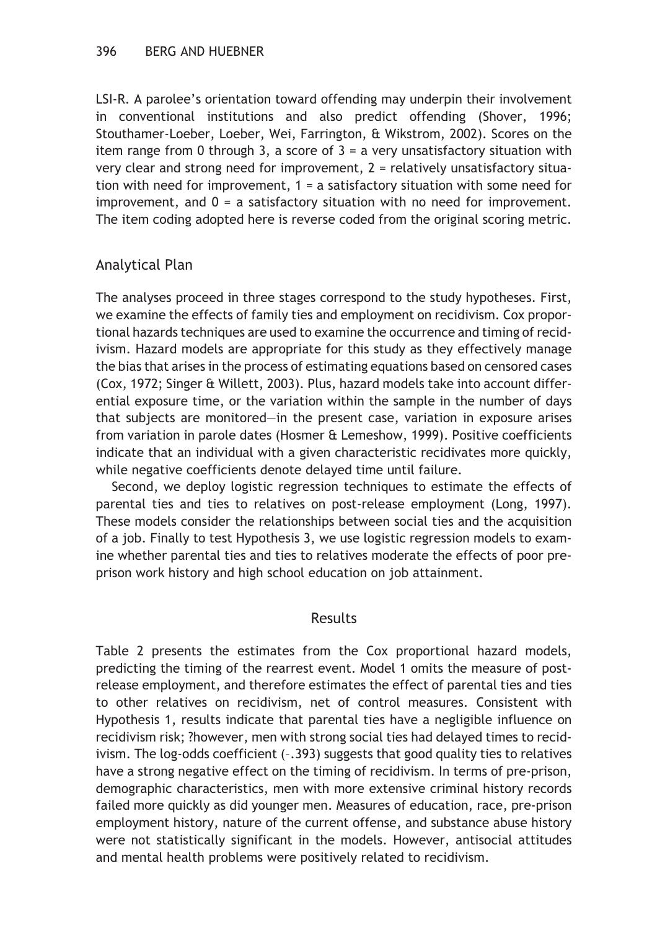LSI-R. A parolee's orientation toward offending may underpin their involvement in conventional institutions and also predict offending (Shover, 1996; Stouthamer-Loeber, Loeber, Wei, Farrington, & Wikstrom, 2002). Scores on the item range from 0 through 3, a score of  $3 = a$  very unsatisfactory situation with very clear and strong need for improvement, 2 = relatively unsatisfactory situation with need for improvement,  $1 = a$  satisfactory situation with some need for improvement, and 0 = a satisfactory situation with no need for improvement. The item coding adopted here is reverse coded from the original scoring metric.

### Analytical Plan

The analyses proceed in three stages correspond to the study hypotheses. First, we examine the effects of family ties and employment on recidivism. Cox proportional hazards techniques are used to examine the occurrence and timing of recidivism. Hazard models are appropriate for this study as they effectively manage the bias that arises in the process of estimating equations based on censored cases (Cox, 1972; Singer & Willett, 2003). Plus, hazard models take into account differential exposure time, or the variation within the sample in the number of days that subjects are monitored—in the present case, variation in exposure arises from variation in parole dates (Hosmer & Lemeshow, 1999). Positive coefficients indicate that an individual with a given characteristic recidivates more quickly, while negative coefficients denote delayed time until failure.

Second, we deploy logistic regression techniques to estimate the effects of parental ties and ties to relatives on post-release employment (Long, 1997). These models consider the relationships between social ties and the acquisition of a job. Finally to test Hypothesis 3, we use logistic regression models to examine whether parental ties and ties to relatives moderate the effects of poor preprison work history and high school education on job attainment.

#### Results

Table 2 presents the estimates from the Cox proportional hazard models, predicting the timing of the rearrest event. Model 1 omits the measure of postrelease employment, and therefore estimates the effect of parental ties and ties to other relatives on recidivism, net of control measures. Consistent with Hypothesis 1, results indicate that parental ties have a negligible influence on recidivism risk; ?however, men with strong social ties had delayed times to recidivism. The log-odds coefficient (–.393) suggests that good quality ties to relatives have a strong negative effect on the timing of recidivism. In terms of pre-prison, demographic characteristics, men with more extensive criminal history records failed more quickly as did younger men. Measures of education, race, pre-prison employment history, nature of the current offense, and substance abuse history were not statistically significant in the models. However, antisocial attitudes and mental health problems were positively related to recidivism.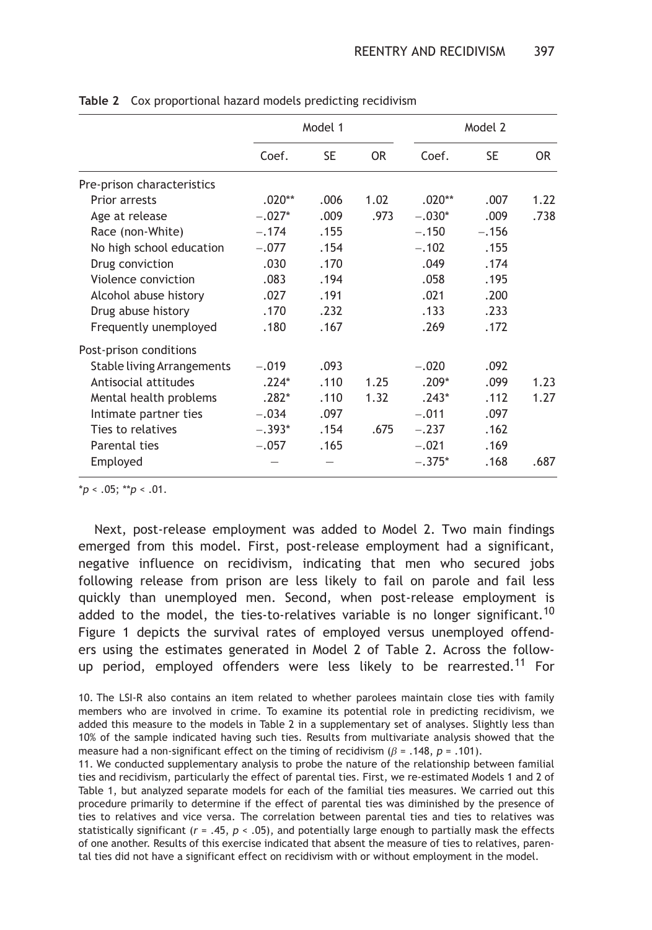|                            |          | Model 1 |      |          | Model 2 |      |
|----------------------------|----------|---------|------|----------|---------|------|
|                            | Coef.    | SE.     | OR.  | Coef.    | SE.     | OR.  |
| Pre-prison characteristics |          |         |      |          |         |      |
| Prior arrests              | $.020**$ | .006    | 1.02 | $.020**$ | .007    | 1.22 |
| Age at release             | $-.027*$ | .009    | .973 | $-.030*$ | .009    | .738 |
| Race (non-White)           | $-.174$  | .155    |      | $-.150$  | $-.156$ |      |
| No high school education   | $-.077$  | .154    |      | $-.102$  | .155    |      |
| Drug conviction            | .030     | .170    |      | .049     | .174    |      |
| Violence conviction        | .083     | .194    |      | .058     | .195    |      |
| Alcohol abuse history      | .027     | .191    |      | .021     | .200    |      |
| Drug abuse history         | .170     | .232    |      | .133     | .233    |      |
| Frequently unemployed      | .180     | .167    |      | .269     | .172    |      |
| Post-prison conditions     |          |         |      |          |         |      |
| Stable living Arrangements | $-.019$  | .093    |      | $-.020$  | .092    |      |
| Antisocial attitudes       | $.224*$  | .110    | 1.25 | $.209*$  | .099    | 1.23 |
| Mental health problems     | $.282*$  | .110    | 1.32 | $.243*$  | .112    | 1.27 |
| Intimate partner ties      | $-.034$  | .097    |      | $-.011$  | .097    |      |
| Ties to relatives          | $-.393*$ | .154    | .675 | $-.237$  | .162    |      |
| Parental ties              | $-.057$  | .165    |      | $-.021$  | .169    |      |
| Employed                   |          |         |      | $-.375*$ | .168    | .687 |

#### **Table 2** Cox proportional hazard models predicting recidivism

\**p* < .05; \*\**p* < .01.

Next, post-release employment was added to Model 2. Two main findings emerged from this model. First, post-release employment had a significant, negative influence on recidivism, indicating that men who secured jobs following release from prison are less likely to fail on parole and fail less quickly than unemployed men. Second, when post-release employment is added to the model, the ties-to-relatives variable is no longer significant.<sup>10</sup> Figure 1 depicts the survival rates of employed versus unemployed offenders using the estimates generated in Model 2 of Table 2. Across the followup period, employed offenders were less likely to be rearrested.<sup>11</sup> For

11. We conducted supplementary analysis to probe the nature of the relationship between familial ties and recidivism, particularly the effect of parental ties. First, we re-estimated Models 1 and 2 of Table 1, but analyzed separate models for each of the familial ties measures. We carried out this procedure primarily to determine if the effect of parental ties was diminished by the presence of ties to relatives and vice versa. The correlation between parental ties and ties to relatives was statistically significant (*r* = .45, *p* < .05), and potentially large enough to partially mask the effects of one another. Results of this exercise indicated that absent the measure of ties to relatives, parental ties did not have a significant effect on recidivism with or without employment in the model.

<sup>10.</sup> The LSI-R also contains an item related to whether parolees maintain close ties with family members who are involved in crime. To examine its potential role in predicting recidivism, we added this measure to the models in Table 2 in a supplementary set of analyses. Slightly less than 10% of the sample indicated having such ties. Results from multivariate analysis showed that the measure had a non-significant effect on the timing of recidivism (β = .148, *p* = .101).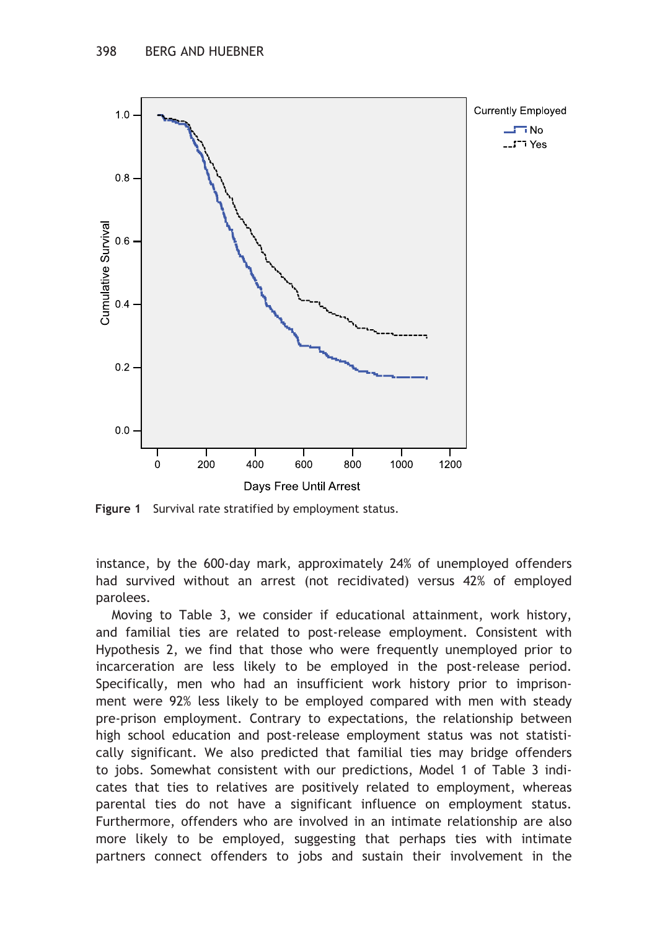

**Figure 1** Survival rate stratified by employment status.

instance, by the 600-day mark, approximately 24% of unemployed offenders had survived without an arrest (not recidivated) versus 42% of employed parolees.

Moving to Table 3, we consider if educational attainment, work history, and familial ties are related to post-release employment. Consistent with Hypothesis 2, we find that those who were frequently unemployed prior to incarceration are less likely to be employed in the post-release period. Specifically, men who had an insufficient work history prior to imprisonment were 92% less likely to be employed compared with men with steady pre-prison employment. Contrary to expectations, the relationship between high school education and post-release employment status was not statistically significant. We also predicted that familial ties may bridge offenders to jobs. Somewhat consistent with our predictions, Model 1 of Table 3 indicates that ties to relatives are positively related to employment, whereas parental ties do not have a significant influence on employment status. Furthermore, offenders who are involved in an intimate relationship are also more likely to be employed, suggesting that perhaps ties with intimate partners connect offenders to jobs and sustain their involvement in the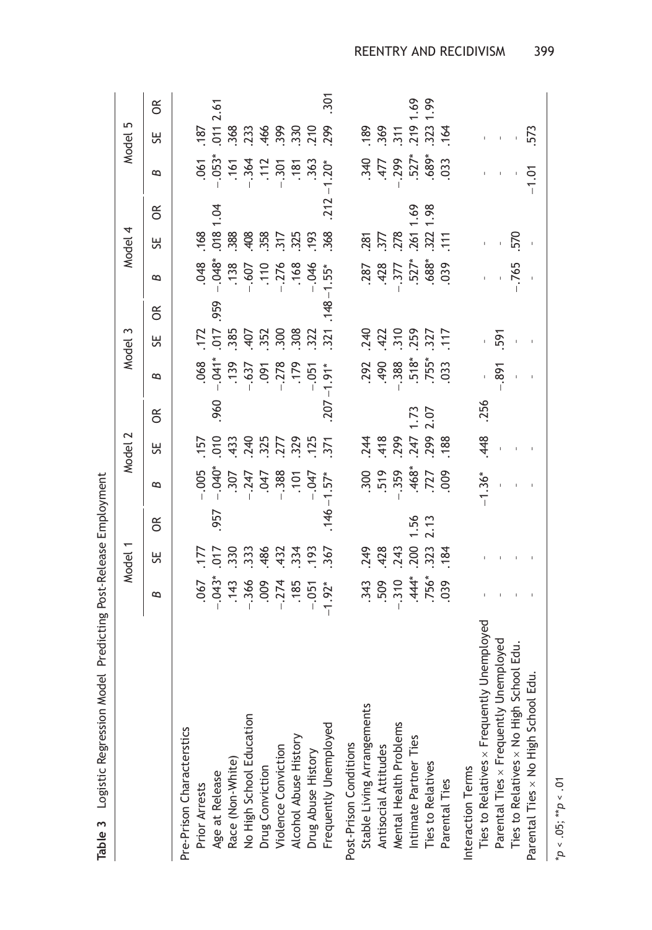|                                              |                                                | Model 1           |      |                                                         | Model 2                         |               |                   | Model 3                                                                                                       |      |                         | Model 4           |      |                    | Model 5                  |             |
|----------------------------------------------|------------------------------------------------|-------------------|------|---------------------------------------------------------|---------------------------------|---------------|-------------------|---------------------------------------------------------------------------------------------------------------|------|-------------------------|-------------------|------|--------------------|--------------------------|-------------|
|                                              | ∞                                              | К                 | δŔ   | ∞                                                       | 닍                               | g             | 8                 | 55                                                                                                            | g    | ∞                       | 닍                 | ЭŘ   | ∞                  | К                        | ΘŔ          |
| Pre-Prison Characterstics                    |                                                |                   |      |                                                         |                                 |               |                   |                                                                                                               |      |                         |                   |      |                    |                          |             |
| Prior Arrests                                | .067                                           | $\overline{17}$   |      | 005                                                     | $-15$                           |               |                   |                                                                                                               |      | .048                    | .168              |      | .061               | .187                     |             |
|                                              | $.043*$                                        | 5io               | 957  | $-0.040*$                                               | 010                             | 960           | $.068$<br>$-041*$ | 758                                                                                                           | 959  | $-0.48$                 |                   |      | $.053*$            |                          |             |
| Age at Release<br>Race (Non-White)           |                                                |                   |      |                                                         |                                 |               | .139              |                                                                                                               |      | .138                    | .018 1.04<br>388. |      | .161               |                          |             |
| No High School Education                     | $-366$<br>$-366$<br>$-366$<br>$-374$<br>$-185$ | 333               |      | $307$<br>$-247$<br>$-388$<br>$-388$<br>$-388$<br>$-388$ | $433$<br>$740$<br>$727$<br>$77$ |               | $-0.637$          | -407                                                                                                          |      |                         |                   |      | .364               |                          |             |
| Drug Conviction<br>Violence Conviction       |                                                | 486               |      |                                                         |                                 |               |                   | 352                                                                                                           |      | $-100$<br>0011.         | <b>QS</b> 35      |      | .112               |                          |             |
|                                              |                                                | 4324              |      |                                                         |                                 |               | .278              | $\frac{300}{2}$                                                                                               |      |                         | 317               |      | $\ddot{5}$         |                          |             |
| Alcohol Abuse History                        |                                                |                   |      |                                                         | 329                             |               | .179              | 308                                                                                                           |      | .168                    | 325               |      | .181               |                          |             |
| Drug Abuse History                           | $-.051$                                        | (93)              |      | $-0.47$                                                 | 125                             |               | $-0.51$           | 322                                                                                                           |      | $-0.046$                | $\frac{5}{6}$     |      | $-36$              |                          |             |
| Frequently Unemployed                        | $1.92*$                                        | 367               | .146 | $-1.57*$                                                | 371                             | $207 - 1.91*$ |                   | 321                                                                                                           | .148 | $-1.55*$                | 368               | 212  | $-1.20*$           | 299                      | $\tilde{5}$ |
| Post-Prison Conditions                       |                                                |                   |      |                                                         |                                 |               |                   |                                                                                                               |      |                         |                   |      |                    |                          |             |
| Stable Living Arrangements                   |                                                | 249               |      |                                                         | .244                            |               | .292              |                                                                                                               |      | .287                    | .281              |      | 340                | (86)                     |             |
| Antisocial Attitudes                         | $-343$<br>$-310$                               | 428<br>243<br>200 |      |                                                         |                                 |               | 490               | 3 3 5 5 9 5 9 5 9 5 9 5 9 5 9 7 5 9 6 9 7 7 7 7 9 9 7 7 7 7 9 9 7 7 9 9 7 7 7 9 9 9 7 7 9 9 7 7 9 9 9 9 7 7 9 |      |                         | -377              |      |                    |                          |             |
| Mental Health Problems                       |                                                |                   |      |                                                         |                                 |               |                   |                                                                                                               |      |                         |                   |      |                    |                          |             |
| Intimate Partner Ties                        | $.756*$                                        |                   | 1.56 | 121<br>488<br>121<br>121                                | 418<br>747<br>99<br>747         | 1.73          | .518*<br>.755*    |                                                                                                               |      | $-377$<br>-377<br>-527* | 278<br>261<br>322 | 1.69 | 477<br>299<br>527* | 369<br>311<br>312<br>313 | 1.69        |
| Ties to Relatives                            |                                                | 323               | 2.13 |                                                         |                                 | 2.07          |                   | 327                                                                                                           |      | $.688*$                 |                   | 1.98 | $.689*$            |                          | 1.99        |
| Parental Ties                                | 039                                            | .184              |      | .009                                                    | .188                            |               | 033               | 117                                                                                                           |      | .039                    | $\overline{11}$   |      | 033                | .164                     |             |
| Interaction Terms                            |                                                |                   |      |                                                         |                                 |               |                   |                                                                                                               |      |                         |                   |      |                    |                          |             |
| Jnemploved<br>Ties to Relatives x Frequently |                                                |                   |      | $-1.36*$                                                | 448                             | .256          |                   |                                                                                                               |      |                         |                   |      |                    |                          |             |
| Parental Ties × Frequently Unemployed        |                                                |                   |      |                                                         |                                 |               | $-0.891$          | .591                                                                                                          |      |                         |                   |      |                    |                          |             |
| Fies to Relatives x No High School Edu       |                                                |                   |      |                                                         |                                 |               |                   |                                                                                                               |      | $-765$                  | 570               |      |                    |                          |             |
| Parental Ties x No High School Edu.          |                                                |                   |      |                                                         |                                 |               |                   |                                                                                                               |      |                         |                   |      | $-1.01$            | 573                      |             |
|                                              |                                                |                   |      |                                                         |                                 |               |                   |                                                                                                               |      |                         |                   |      |                    |                          |             |

Table 3 Logistic Regression Model Predicting Post-Release Employment **Table 3** Logistic Regression Model Predicting Post-Release Employment

 $^*p < .05;$ <br> $^{**}p < .01$ \**p* < .05; \*\**p* < .01

REENTRY AND RECIDIVISM 399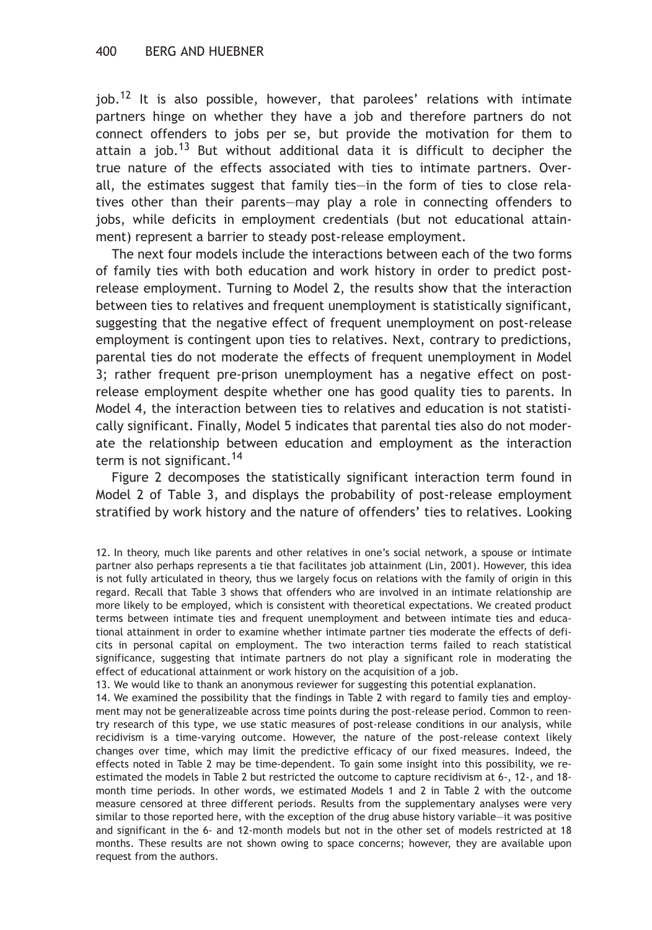iob.<sup>12</sup> It is also possible, however, that parolees' relations with intimate partners hinge on whether they have a job and therefore partners do not connect offenders to jobs per se, but provide the motivation for them to attain a job.<sup>13</sup> But without additional data it is difficult to decipher the true nature of the effects associated with ties to intimate partners. Overall, the estimates suggest that family ties—in the form of ties to close relatives other than their parents—may play a role in connecting offenders to jobs, while deficits in employment credentials (but not educational attainment) represent a barrier to steady post-release employment.

The next four models include the interactions between each of the two forms of family ties with both education and work history in order to predict postrelease employment. Turning to Model 2, the results show that the interaction between ties to relatives and frequent unemployment is statistically significant, suggesting that the negative effect of frequent unemployment on post-release employment is contingent upon ties to relatives. Next, contrary to predictions, parental ties do not moderate the effects of frequent unemployment in Model 3; rather frequent pre-prison unemployment has a negative effect on postrelease employment despite whether one has good quality ties to parents. In Model 4, the interaction between ties to relatives and education is not statistically significant. Finally, Model 5 indicates that parental ties also do not moderate the relationship between education and employment as the interaction term is not significant.<sup>14</sup>

Figure 2 decomposes the statistically significant interaction term found in Model 2 of Table 3, and displays the probability of post-release employment stratified by work history and the nature of offenders' ties to relatives. Looking

13. We would like to thank an anonymous reviewer for suggesting this potential explanation.

14. We examined the possibility that the findings in Table 2 with regard to family ties and employment may not be generalizeable across time points during the post-release period. Common to reentry research of this type, we use static measures of post-release conditions in our analysis, while recidivism is a time-varying outcome. However, the nature of the post-release context likely changes over time, which may limit the predictive efficacy of our fixed measures. Indeed, the effects noted in Table 2 may be time-dependent. To gain some insight into this possibility, we reestimated the models in Table 2 but restricted the outcome to capture recidivism at 6-, 12-, and 18 month time periods. In other words, we estimated Models 1 and 2 in Table 2 with the outcome measure censored at three different periods. Results from the supplementary analyses were very similar to those reported here, with the exception of the drug abuse history variable—it was positive and significant in the 6- and 12-month models but not in the other set of models restricted at 18 months. These results are not shown owing to space concerns; however, they are available upon request from the authors.

<sup>12.</sup> In theory, much like parents and other relatives in one's social network, a spouse or intimate partner also perhaps represents a tie that facilitates job attainment (Lin, 2001). However, this idea is not fully articulated in theory, thus we largely focus on relations with the family of origin in this regard. Recall that Table 3 shows that offenders who are involved in an intimate relationship are more likely to be employed, which is consistent with theoretical expectations. We created product terms between intimate ties and frequent unemployment and between intimate ties and educational attainment in order to examine whether intimate partner ties moderate the effects of deficits in personal capital on employment. The two interaction terms failed to reach statistical significance, suggesting that intimate partners do not play a significant role in moderating the effect of educational attainment or work history on the acquisition of a job.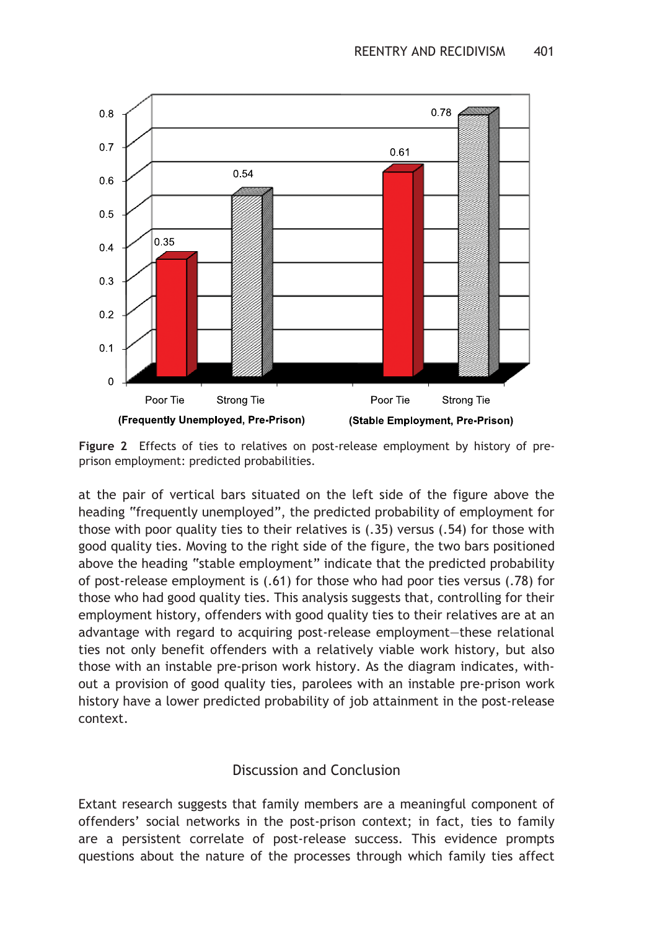

**Figure 2** Effects of ties to relatives on post-release employment by history of preprison employment: predicted probabilities.

at the pair of vertical bars situated on the left side of the figure above the heading "frequently unemployed", the predicted probability of employment for those with poor quality ties to their relatives is (.35) versus (.54) for those with good quality ties. Moving to the right side of the figure, the two bars positioned above the heading "stable employment" indicate that the predicted probability of post-release employment is (.61) for those who had poor ties versus (.78) for those who had good quality ties. This analysis suggests that, controlling for their employment history, offenders with good quality ties to their relatives are at an advantage with regard to acquiring post-release employment—these relational ties not only benefit offenders with a relatively viable work history, but also those with an instable pre-prison work history. As the diagram indicates, without a provision of good quality ties, parolees with an instable pre-prison work history have a lower predicted probability of job attainment in the post-release context.

#### Discussion and Conclusion

Extant research suggests that family members are a meaningful component of offenders' social networks in the post-prison context; in fact, ties to family are a persistent correlate of post-release success. This evidence prompts questions about the nature of the processes through which family ties affect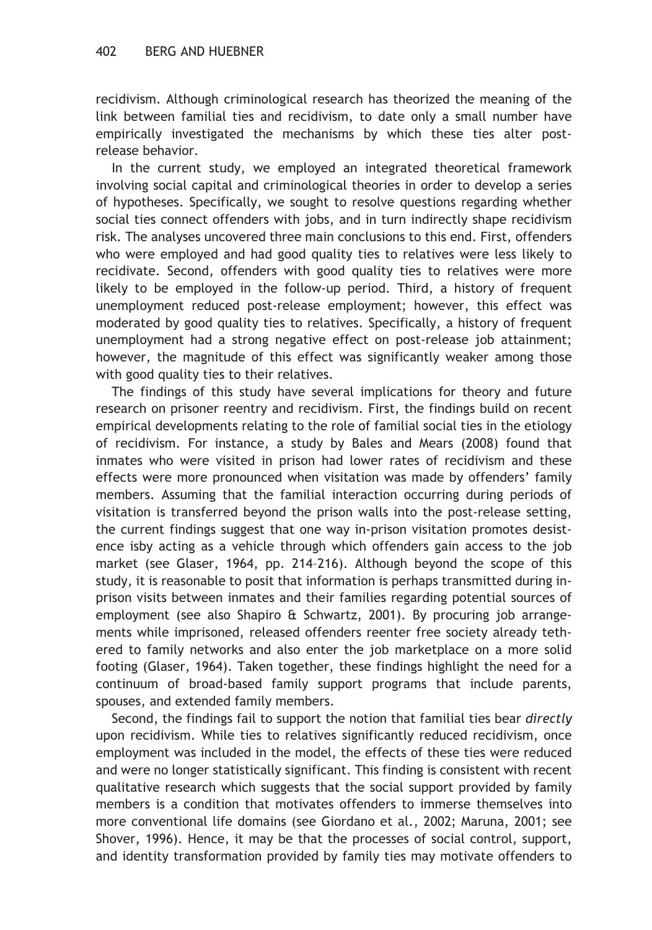recidivism. Although criminological research has theorized the meaning of the link between familial ties and recidivism, to date only a small number have empirically investigated the mechanisms by which these ties alter postrelease behavior.

In the current study, we employed an integrated theoretical framework involving social capital and criminological theories in order to develop a series of hypotheses. Specifically, we sought to resolve questions regarding whether social ties connect offenders with jobs, and in turn indirectly shape recidivism risk. The analyses uncovered three main conclusions to this end. First, offenders who were employed and had good quality ties to relatives were less likely to recidivate. Second, offenders with good quality ties to relatives were more likely to be employed in the follow-up period. Third, a history of frequent unemployment reduced post-release employment; however, this effect was moderated by good quality ties to relatives. Specifically, a history of frequent unemployment had a strong negative effect on post-release job attainment; however, the magnitude of this effect was significantly weaker among those with good quality ties to their relatives.

The findings of this study have several implications for theory and future research on prisoner reentry and recidivism. First, the findings build on recent empirical developments relating to the role of familial social ties in the etiology of recidivism. For instance, a study by Bales and Mears (2008) found that inmates who were visited in prison had lower rates of recidivism and these effects were more pronounced when visitation was made by offenders' family members. Assuming that the familial interaction occurring during periods of visitation is transferred beyond the prison walls into the post-release setting, the current findings suggest that one way in-prison visitation promotes desistence isby acting as a vehicle through which offenders gain access to the job market (see Glaser, 1964, pp. 214–216). Although beyond the scope of this study, it is reasonable to posit that information is perhaps transmitted during inprison visits between inmates and their families regarding potential sources of employment (see also Shapiro & Schwartz, 2001). By procuring job arrangements while imprisoned, released offenders reenter free society already tethered to family networks and also enter the job marketplace on a more solid footing (Glaser, 1964). Taken together, these findings highlight the need for a continuum of broad-based family support programs that include parents, spouses, and extended family members.

Second, the findings fail to support the notion that familial ties bear *directly* upon recidivism. While ties to relatives significantly reduced recidivism, once employment was included in the model, the effects of these ties were reduced and were no longer statistically significant. This finding is consistent with recent qualitative research which suggests that the social support provided by family members is a condition that motivates offenders to immerse themselves into more conventional life domains (see Giordano et al., 2002; Maruna, 2001; see Shover, 1996). Hence, it may be that the processes of social control, support, and identity transformation provided by family ties may motivate offenders to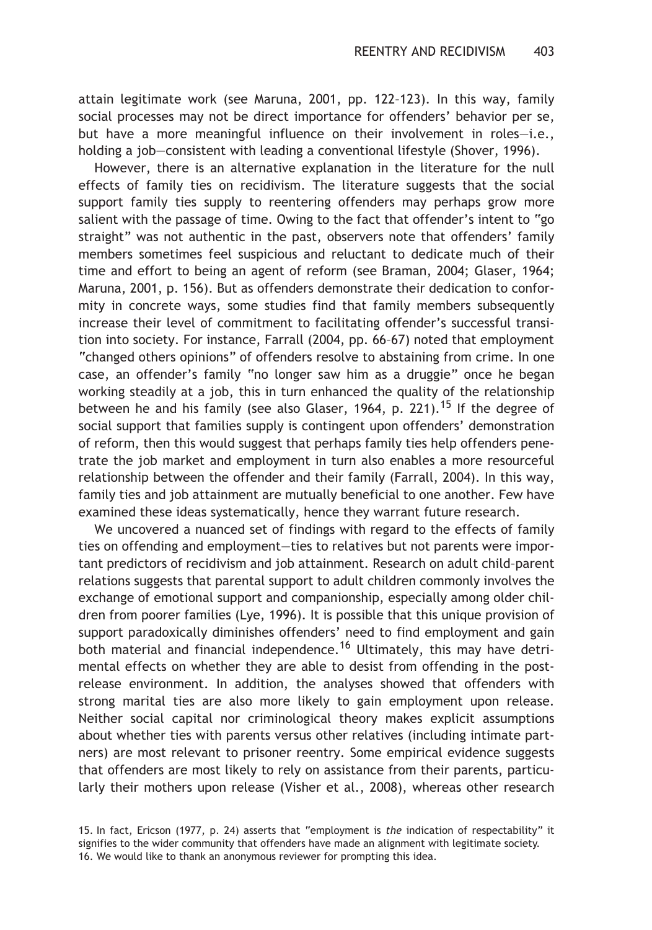attain legitimate work (see Maruna, 2001, pp. 122–123). In this way, family social processes may not be direct importance for offenders' behavior per se, but have a more meaningful influence on their involvement in roles—i.e., holding a job—consistent with leading a conventional lifestyle (Shover, 1996).

However, there is an alternative explanation in the literature for the null effects of family ties on recidivism. The literature suggests that the social support family ties supply to reentering offenders may perhaps grow more salient with the passage of time. Owing to the fact that offender's intent to "go straight" was not authentic in the past, observers note that offenders' family members sometimes feel suspicious and reluctant to dedicate much of their time and effort to being an agent of reform (see Braman, 2004; Glaser, 1964; Maruna, 2001, p. 156). But as offenders demonstrate their dedication to conformity in concrete ways, some studies find that family members subsequently increase their level of commitment to facilitating offender's successful transition into society. For instance, Farrall (2004, pp. 66–67) noted that employment "changed others opinions" of offenders resolve to abstaining from crime. In one case, an offender's family "no longer saw him as a druggie" once he began working steadily at a job, this in turn enhanced the quality of the relationship between he and his family (see also Glaser, 1964, p. 221).<sup>15</sup> If the degree of social support that families supply is contingent upon offenders' demonstration of reform, then this would suggest that perhaps family ties help offenders penetrate the job market and employment in turn also enables a more resourceful relationship between the offender and their family (Farrall, 2004). In this way, family ties and job attainment are mutually beneficial to one another. Few have examined these ideas systematically, hence they warrant future research.

We uncovered a nuanced set of findings with regard to the effects of family ties on offending and employment—ties to relatives but not parents were important predictors of recidivism and job attainment. Research on adult child–parent relations suggests that parental support to adult children commonly involves the exchange of emotional support and companionship, especially among older children from poorer families (Lye, 1996). It is possible that this unique provision of support paradoxically diminishes offenders' need to find employment and gain both material and financial independence.<sup>16</sup> Ultimately, this may have detrimental effects on whether they are able to desist from offending in the postrelease environment. In addition, the analyses showed that offenders with strong marital ties are also more likely to gain employment upon release. Neither social capital nor criminological theory makes explicit assumptions about whether ties with parents versus other relatives (including intimate partners) are most relevant to prisoner reentry. Some empirical evidence suggests that offenders are most likely to rely on assistance from their parents, particularly their mothers upon release (Visher et al., 2008), whereas other research

<sup>15.</sup> In fact, Ericson (1977, p. 24) asserts that "employment is *the* indication of respectability" it signifies to the wider community that offenders have made an alignment with legitimate society. 16. We would like to thank an anonymous reviewer for prompting this idea.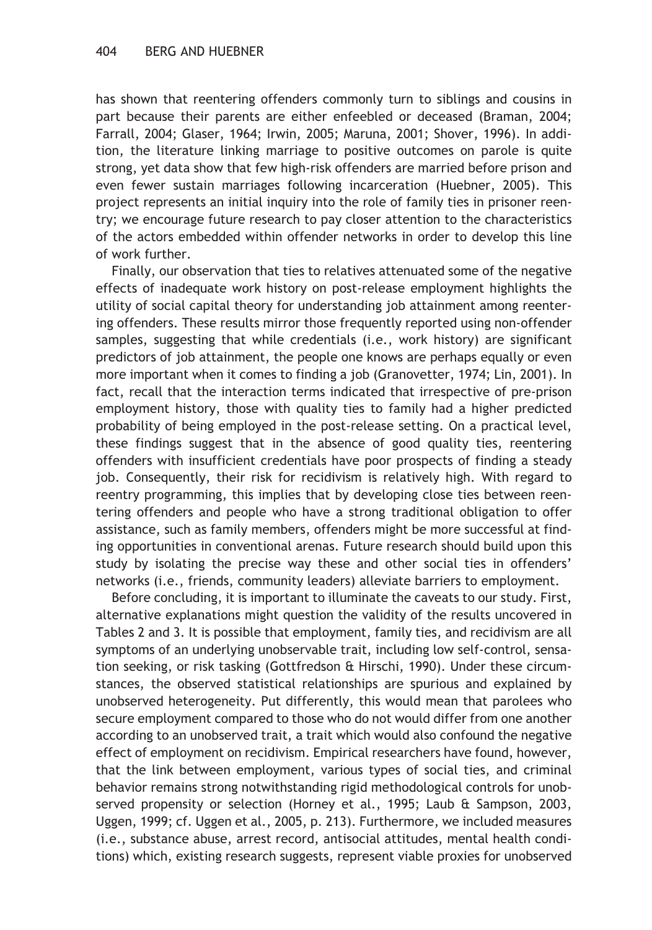has shown that reentering offenders commonly turn to siblings and cousins in part because their parents are either enfeebled or deceased (Braman, 2004; Farrall, 2004; Glaser, 1964; Irwin, 2005; Maruna, 2001; Shover, 1996). In addition, the literature linking marriage to positive outcomes on parole is quite strong, yet data show that few high-risk offenders are married before prison and even fewer sustain marriages following incarceration (Huebner, 2005). This project represents an initial inquiry into the role of family ties in prisoner reentry; we encourage future research to pay closer attention to the characteristics of the actors embedded within offender networks in order to develop this line of work further.

Finally, our observation that ties to relatives attenuated some of the negative effects of inadequate work history on post-release employment highlights the utility of social capital theory for understanding job attainment among reentering offenders. These results mirror those frequently reported using non-offender samples, suggesting that while credentials (i.e., work history) are significant predictors of job attainment, the people one knows are perhaps equally or even more important when it comes to finding a job (Granovetter, 1974; Lin, 2001). In fact, recall that the interaction terms indicated that irrespective of pre-prison employment history, those with quality ties to family had a higher predicted probability of being employed in the post-release setting. On a practical level, these findings suggest that in the absence of good quality ties, reentering offenders with insufficient credentials have poor prospects of finding a steady job. Consequently, their risk for recidivism is relatively high. With regard to reentry programming, this implies that by developing close ties between reentering offenders and people who have a strong traditional obligation to offer assistance, such as family members, offenders might be more successful at finding opportunities in conventional arenas. Future research should build upon this study by isolating the precise way these and other social ties in offenders' networks (i.e., friends, community leaders) alleviate barriers to employment.

Before concluding, it is important to illuminate the caveats to our study. First, alternative explanations might question the validity of the results uncovered in Tables 2 and 3. It is possible that employment, family ties, and recidivism are all symptoms of an underlying unobservable trait, including low self-control, sensation seeking, or risk tasking (Gottfredson & Hirschi, 1990). Under these circumstances, the observed statistical relationships are spurious and explained by unobserved heterogeneity. Put differently, this would mean that parolees who secure employment compared to those who do not would differ from one another according to an unobserved trait, a trait which would also confound the negative effect of employment on recidivism. Empirical researchers have found, however, that the link between employment, various types of social ties, and criminal behavior remains strong notwithstanding rigid methodological controls for unobserved propensity or selection (Horney et al., 1995; Laub & Sampson, 2003, Uggen, 1999; cf. Uggen et al., 2005, p. 213). Furthermore, we included measures (i.e., substance abuse, arrest record, antisocial attitudes, mental health conditions) which, existing research suggests, represent viable proxies for unobserved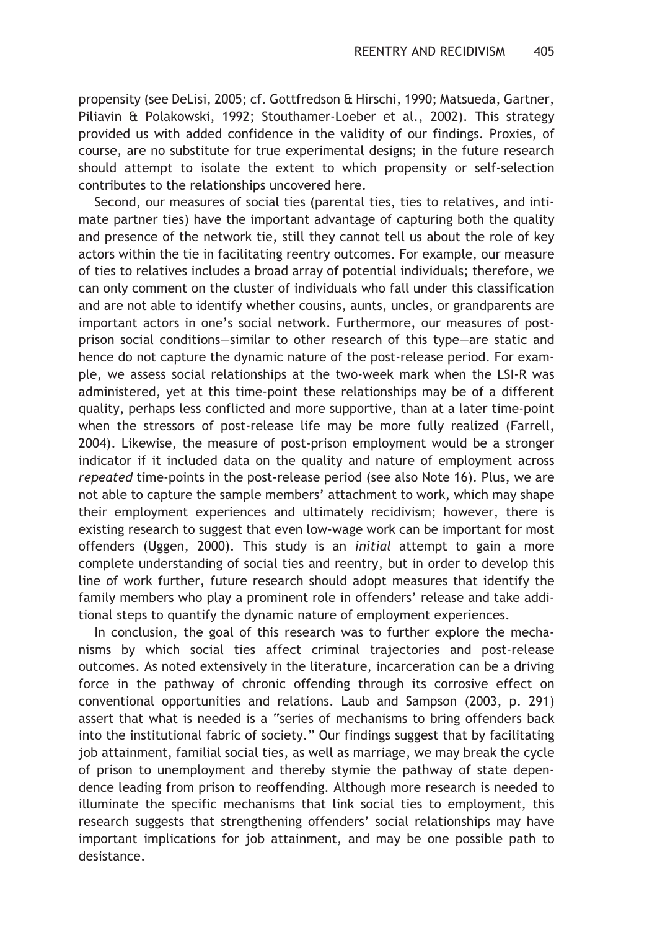propensity (see DeLisi, 2005; cf. Gottfredson & Hirschi, 1990; Matsueda, Gartner, Piliavin & Polakowski, 1992; Stouthamer-Loeber et al., 2002). This strategy provided us with added confidence in the validity of our findings. Proxies, of course, are no substitute for true experimental designs; in the future research should attempt to isolate the extent to which propensity or self-selection contributes to the relationships uncovered here.

Second, our measures of social ties (parental ties, ties to relatives, and intimate partner ties) have the important advantage of capturing both the quality and presence of the network tie, still they cannot tell us about the role of key actors within the tie in facilitating reentry outcomes. For example, our measure of ties to relatives includes a broad array of potential individuals; therefore, we can only comment on the cluster of individuals who fall under this classification and are not able to identify whether cousins, aunts, uncles, or grandparents are important actors in one's social network. Furthermore, our measures of postprison social conditions—similar to other research of this type—are static and hence do not capture the dynamic nature of the post-release period. For example, we assess social relationships at the two-week mark when the LSI-R was administered, yet at this time-point these relationships may be of a different quality, perhaps less conflicted and more supportive, than at a later time-point when the stressors of post-release life may be more fully realized (Farrell, 2004). Likewise, the measure of post-prison employment would be a stronger indicator if it included data on the quality and nature of employment across *repeated* time-points in the post-release period (see also Note 16). Plus, we are not able to capture the sample members' attachment to work, which may shape their employment experiences and ultimately recidivism; however, there is existing research to suggest that even low-wage work can be important for most offenders (Uggen, 2000). This study is an *initial* attempt to gain a more complete understanding of social ties and reentry, but in order to develop this line of work further, future research should adopt measures that identify the family members who play a prominent role in offenders' release and take additional steps to quantify the dynamic nature of employment experiences.

In conclusion, the goal of this research was to further explore the mechanisms by which social ties affect criminal trajectories and post-release outcomes. As noted extensively in the literature, incarceration can be a driving force in the pathway of chronic offending through its corrosive effect on conventional opportunities and relations. Laub and Sampson (2003, p. 291) assert that what is needed is a "series of mechanisms to bring offenders back into the institutional fabric of society." Our findings suggest that by facilitating job attainment, familial social ties, as well as marriage, we may break the cycle of prison to unemployment and thereby stymie the pathway of state dependence leading from prison to reoffending. Although more research is needed to illuminate the specific mechanisms that link social ties to employment, this research suggests that strengthening offenders' social relationships may have important implications for job attainment, and may be one possible path to desistance.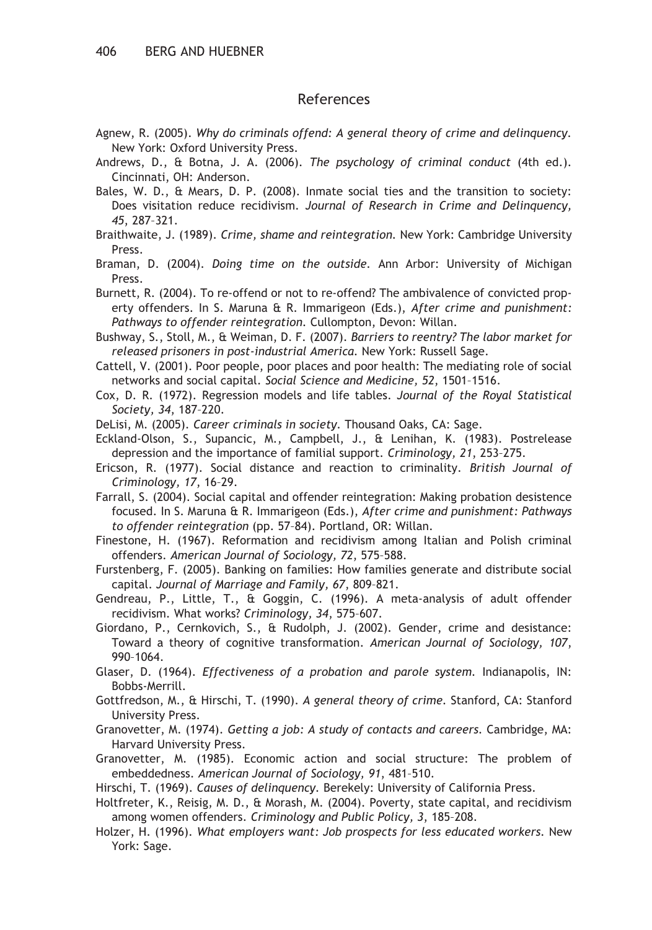#### References

- Agnew, R. (2005). *Why do criminals offend: A general theory of crime and delinquency.* New York: Oxford University Press.
- Andrews, D., & Botna, J. A. (2006). *The psychology of criminal conduct* (4th ed.). Cincinnati, OH: Anderson.
- Bales, W. D., & Mears, D. P. (2008). Inmate social ties and the transition to society: Does visitation reduce recidivism. *Journal of Research in Crime and Delinquency, 45*, 287–321.
- Braithwaite, J. (1989). *Crime, shame and reintegration.* New York: Cambridge University Press.
- Braman, D. (2004). *Doing time on the outside.* Ann Arbor: University of Michigan Press.

Burnett, R. (2004). To re-offend or not to re-offend? The ambivalence of convicted property offenders. In S. Maruna & R. Immarigeon (Eds.), *After crime and punishment: Pathways to offender reintegration.* Cullompton, Devon: Willan.

- Bushway, S., Stoll, M., & Weiman, D. F. (2007). *Barriers to reentry? The labor market for released prisoners in post-industrial America.* New York: Russell Sage.
- Cattell, V. (2001). Poor people, poor places and poor health: The mediating role of social networks and social capital. *Social Science and Medicine, 52*, 1501–1516.

Cox, D. R. (1972). Regression models and life tables. *Journal of the Royal Statistical Society, 34*, 187–220.

- DeLisi, M. (2005). *Career criminals in society.* Thousand Oaks, CA: Sage.
- Eckland-Olson, S., Supancic, M., Campbell, J., & Lenihan, K. (1983). Postrelease depression and the importance of familial support. *Criminology, 21*, 253–275.
- Ericson, R. (1977). Social distance and reaction to criminality. *British Journal of Criminology, 17*, 16–29.
- Farrall, S. (2004). Social capital and offender reintegration: Making probation desistence focused. In S. Maruna & R. Immarigeon (Eds.), *After crime and punishment: Pathways to offender reintegration* (pp. 57–84). Portland, OR: Willan.
- Finestone, H. (1967). Reformation and recidivism among Italian and Polish criminal offenders. *American Journal of Sociology, 72*, 575–588.
- Furstenberg, F. (2005). Banking on families: How families generate and distribute social capital. *Journal of Marriage and Family, 67*, 809–821.
- Gendreau, P., Little, T., & Goggin, C. (1996). A meta-analysis of adult offender recidivism. What works? *Criminology, 34*, 575–607.
- Giordano, P., Cernkovich, S., & Rudolph, J. (2002). Gender, crime and desistance: Toward a theory of cognitive transformation. *American Journal of Sociology, 107*, 990–1064.
- Glaser, D. (1964). *Effectiveness of a probation and parole system.* Indianapolis, IN: Bobbs-Merrill.
- Gottfredson, M., & Hirschi, T. (1990). *A general theory of crime.* Stanford, CA: Stanford University Press.
- Granovetter, M. (1974). *Getting a job: A study of contacts and careers.* Cambridge, MA: Harvard University Press.
- Granovetter, M. (1985). Economic action and social structure: The problem of embeddedness. *American Journal of Sociology, 91*, 481–510.
- Hirschi, T. (1969). *Causes of delinquency.* Berekely: University of California Press.
- Holtfreter, K., Reisig, M. D., & Morash, M. (2004). Poverty, state capital, and recidivism among women offenders. *Criminology and Public Policy, 3*, 185–208.
- Holzer, H. (1996). *What employers want: Job prospects for less educated workers.* New York: Sage.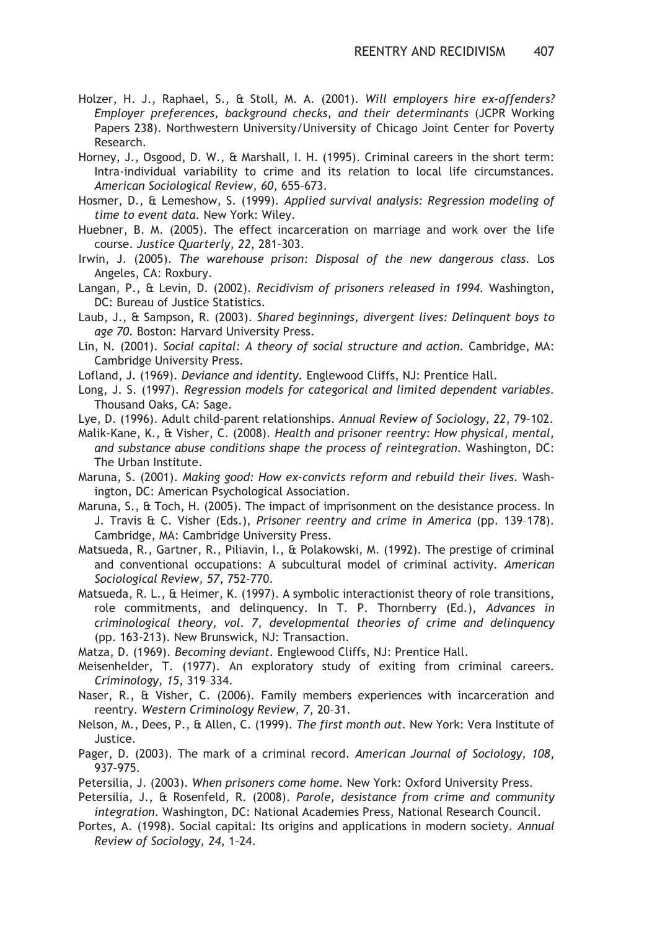Holzer, H. J., Raphael, S., & Stoll, M. A. (2001). *Will employers hire ex-offenders? Employer preferences, background checks, and their determinants* (JCPR Working Papers 238). Northwestern University/University of Chicago Joint Center for Poverty Research.

Horney, J., Osgood, D. W., & Marshall, I. H. (1995). Criminal careers in the short term: Intra-individual variability to crime and its relation to local life circumstances. *American Sociological Review, 60*, 655–673.

- Hosmer, D., & Lemeshow, S. (1999). *Applied survival analysis: Regression modeling of time to event data.* New York: Wiley.
- Huebner, B. M. (2005). The effect incarceration on marriage and work over the life course. *Justice Quarterly, 22*, 281–303.
- Irwin, J. (2005). *The warehouse prison: Disposal of the new dangerous class.* Los Angeles, CA: Roxbury.
- Langan, P., & Levin, D. (2002). *Recidivism of prisoners released in 1994.* Washington, DC: Bureau of Justice Statistics.
- Laub, J., & Sampson, R. (2003). *Shared beginnings, divergent lives: Delinquent boys to age 70.* Boston: Harvard University Press.
- Lin, N. (2001). *Social capital: A theory of social structure and action.* Cambridge, MA: Cambridge University Press.

Lofland, J. (1969). *Deviance and identity.* Englewood Cliffs, NJ: Prentice Hall.

Long, J. S. (1997). *Regression models for categorical and limited dependent variables.* Thousand Oaks, CA: Sage.

Lye, D. (1996). Adult child–parent relationships. *Annual Review of Sociology, 22*, 79–102.

Malik-Kane, K., & Visher, C. (2008). *Health and prisoner reentry: How physical, mental, and substance abuse conditions shape the process of reintegration.* Washington, DC: The Urban Institute.

Maruna, S. (2001). *Making good: How ex-convicts reform and rebuild their lives.* Washington, DC: American Psychological Association.

Maruna, S., & Toch, H. (2005). The impact of imprisonment on the desistance process. In J. Travis & C. Visher (Eds.), *Prisoner reentry and crime in America* (pp. 139–178). Cambridge, MA: Cambridge University Press.

Matsueda, R., Gartner, R., Piliavin, I., & Polakowski, M. (1992). The prestige of criminal and conventional occupations: A subcultural model of criminal activity. *American Sociological Review, 57*, 752–770.

Matsueda, R. L., & Heimer, K. (1997). A symbolic interactionist theory of role transitions, role commitments, and delinquency. In T. P. Thornberry (Ed.), *Advances in criminological theory, vol. 7, developmental theories of crime and delinquency* (pp. 163-213). New Brunswick, NJ: Transaction.

Matza, D. (1969). *Becoming deviant.* Englewood Cliffs, NJ: Prentice Hall.

Meisenhelder, T. (1977). An exploratory study of exiting from criminal careers. *Criminology, 15*, 319–334.

Naser, R., & Visher, C. (2006). Family members experiences with incarceration and reentry. *Western Criminology Review, 7*, 20–31.

Nelson, M., Dees, P., & Allen, C. (1999). *The first month out.* New York: Vera Institute of Justice.

Pager, D. (2003). The mark of a criminal record. *American Journal of Sociology, 108*, 937–975.

Petersilia, J. (2003). *When prisoners come home.* New York: Oxford University Press.

Petersilia, J., & Rosenfeld, R. (2008). *Parole, desistance from crime and community integration.* Washington, DC: National Academies Press, National Research Council.

Portes, A. (1998). Social capital: Its origins and applications in modern society. *Annual Review of Sociology, 24*, 1–24.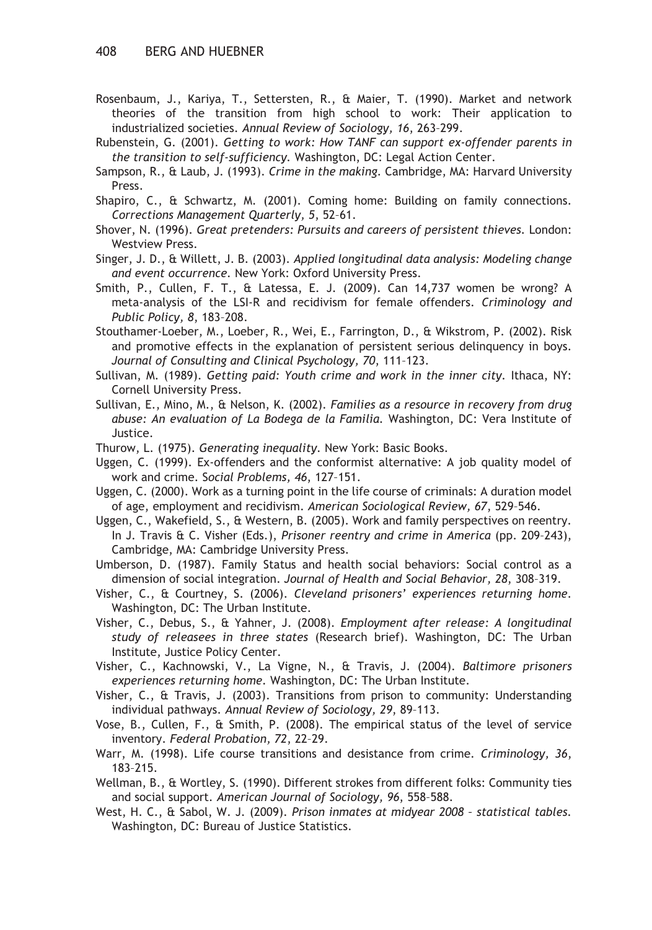- Rosenbaum, J., Kariya, T., Settersten, R., & Maier, T. (1990). Market and network theories of the transition from high school to work: Their application to industrialized societies. *Annual Review of Sociology, 16*, 263–299.
- Rubenstein, G. (2001). *Getting to work: How TANF can support ex-offender parents in the transition to self-sufficiency.* Washington, DC: Legal Action Center.
- Sampson, R., & Laub, J. (1993). *Crime in the making.* Cambridge, MA: Harvard University Press.
- Shapiro, C., & Schwartz, M. (2001). Coming home: Building on family connections. *Corrections Management Quarterly, 5*, 52–61.
- Shover, N. (1996). *Great pretenders: Pursuits and careers of persistent thieves.* London: Westview Press.
- Singer, J. D., & Willett, J. B. (2003). *Applied longitudinal data analysis: Modeling change and event occurrence.* New York: Oxford University Press.
- Smith, P., Cullen, F. T., & Latessa, E. J. (2009). Can 14,737 women be wrong? A meta-analysis of the LSI-R and recidivism for female offenders. *Criminology and Public Policy, 8*, 183–208.
- Stouthamer-Loeber, M., Loeber, R., Wei, E., Farrington, D., & Wikstrom, P. (2002). Risk and promotive effects in the explanation of persistent serious delinquency in boys. *Journal of Consulting and Clinical Psychology, 70*, 111–123.
- Sullivan, M. (1989). *Getting paid: Youth crime and work in the inner city.* Ithaca, NY: Cornell University Press.
- Sullivan, E., Mino, M., & Nelson, K. (2002). *Families as a resource in recovery from drug abuse: An evaluation of La Bodega de la Familia.* Washington, DC: Vera Institute of Justice.
- Thurow, L. (1975). *Generating inequality.* New York: Basic Books.
- Uggen, C. (1999). Ex-offenders and the conformist alternative: A job quality model of work and crime. S*ocial Problems, 46*, 127–151.
- Uggen, C. (2000). Work as a turning point in the life course of criminals: A duration model of age, employment and recidivism. *American Sociological Review, 67*, 529–546.
- Uggen, C., Wakefield, S., & Western, B. (2005). Work and family perspectives on reentry. In J. Travis & C. Visher (Eds.), *Prisoner reentry and crime in America* (pp. 209–243), Cambridge, MA: Cambridge University Press.
- Umberson, D. (1987). Family Status and health social behaviors: Social control as a dimension of social integration. *Journal of Health and Social Behavior, 28*, 308–319.
- Visher, C., & Courtney, S. (2006). *Cleveland prisoners' experiences returning home.* Washington, DC: The Urban Institute.
- Visher, C., Debus, S., & Yahner, J. (2008). *Employment after release: A longitudinal study of releasees in three states* (Research brief). Washington, DC: The Urban Institute, Justice Policy Center.
- Visher, C., Kachnowski, V., La Vigne, N., & Travis, J. (2004). *Baltimore prisoners experiences returning home.* Washington, DC: The Urban Institute.
- Visher, C., & Travis, J. (2003). Transitions from prison to community: Understanding individual pathways. *Annual Review of Sociology, 29*, 89–113.
- Vose, B., Cullen, F., & Smith, P. (2008). The empirical status of the level of service inventory. *Federal Probation, 72*, 22–29.
- Warr, M. (1998). Life course transitions and desistance from crime. *Criminology, 36*, 183–215.
- Wellman, B., & Wortley, S. (1990). Different strokes from different folks: Community ties and social support. *American Journal of Sociology, 96*, 558–588.
- West, H. C., & Sabol, W. J. (2009). *Prison inmates at midyear 2008 statistical tables.* Washington, DC: Bureau of Justice Statistics.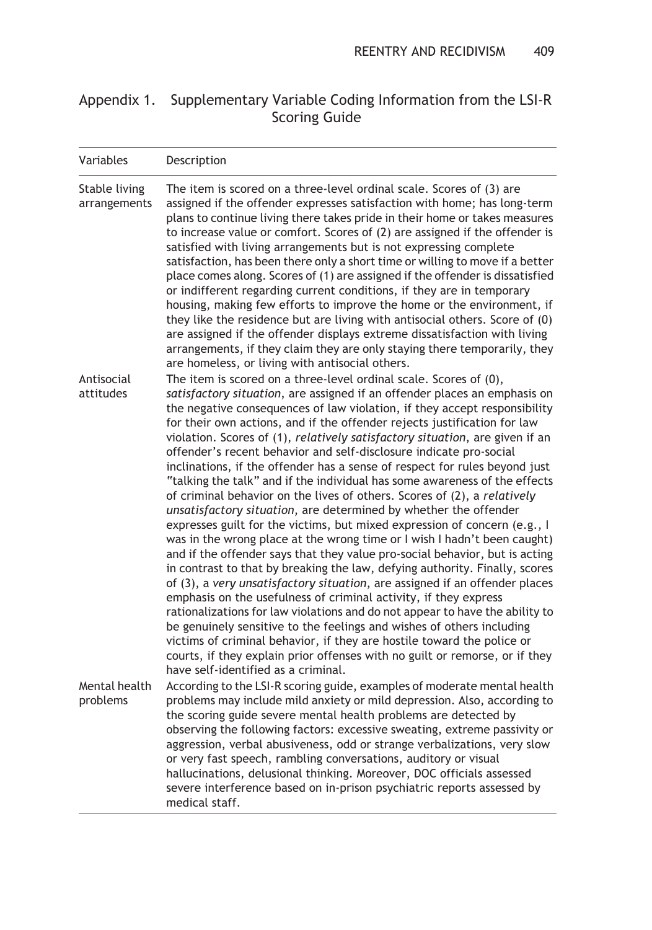| Variables                     | Description                                                                                                                                                                                                                                                                                                                                                                                                                                                                                                                                                                                                                                                                                                                                                                                                                                                                                                                                                                                                                                                                                                                                                                                                                                                                                                                                                                                                                                                                                                                                                                                                  |
|-------------------------------|--------------------------------------------------------------------------------------------------------------------------------------------------------------------------------------------------------------------------------------------------------------------------------------------------------------------------------------------------------------------------------------------------------------------------------------------------------------------------------------------------------------------------------------------------------------------------------------------------------------------------------------------------------------------------------------------------------------------------------------------------------------------------------------------------------------------------------------------------------------------------------------------------------------------------------------------------------------------------------------------------------------------------------------------------------------------------------------------------------------------------------------------------------------------------------------------------------------------------------------------------------------------------------------------------------------------------------------------------------------------------------------------------------------------------------------------------------------------------------------------------------------------------------------------------------------------------------------------------------------|
| Stable living<br>arrangements | The item is scored on a three-level ordinal scale. Scores of (3) are<br>assigned if the offender expresses satisfaction with home; has long-term<br>plans to continue living there takes pride in their home or takes measures<br>to increase value or comfort. Scores of (2) are assigned if the offender is<br>satisfied with living arrangements but is not expressing complete<br>satisfaction, has been there only a short time or willing to move if a better<br>place comes along. Scores of (1) are assigned if the offender is dissatisfied<br>or indifferent regarding current conditions, if they are in temporary<br>housing, making few efforts to improve the home or the environment, if<br>they like the residence but are living with antisocial others. Score of (0)<br>are assigned if the offender displays extreme dissatisfaction with living<br>arrangements, if they claim they are only staying there temporarily, they<br>are homeless, or living with antisocial others.                                                                                                                                                                                                                                                                                                                                                                                                                                                                                                                                                                                                          |
| Antisocial<br>attitudes       | The item is scored on a three-level ordinal scale. Scores of (0),<br>satisfactory situation, are assigned if an offender places an emphasis on<br>the negative consequences of law violation, if they accept responsibility<br>for their own actions, and if the offender rejects justification for law<br>violation. Scores of (1), relatively satisfactory situation, are given if an<br>offender's recent behavior and self-disclosure indicate pro-social<br>inclinations, if the offender has a sense of respect for rules beyond just<br>"talking the talk" and if the individual has some awareness of the effects<br>of criminal behavior on the lives of others. Scores of (2), a relatively<br>unsatisfactory situation, are determined by whether the offender<br>expresses guilt for the victims, but mixed expression of concern (e.g., I<br>was in the wrong place at the wrong time or I wish I hadn't been caught)<br>and if the offender says that they value pro-social behavior, but is acting<br>in contrast to that by breaking the law, defying authority. Finally, scores<br>of (3), a very unsatisfactory situation, are assigned if an offender places<br>emphasis on the usefulness of criminal activity, if they express<br>rationalizations for law violations and do not appear to have the ability to<br>be genuinely sensitive to the feelings and wishes of others including<br>victims of criminal behavior, if they are hostile toward the police or<br>courts, if they explain prior offenses with no guilt or remorse, or if they<br>have self-identified as a criminal. |
| Mental health<br>problems     | According to the LSI-R scoring guide, examples of moderate mental health<br>problems may include mild anxiety or mild depression. Also, according to<br>the scoring guide severe mental health problems are detected by<br>observing the following factors: excessive sweating, extreme passivity or<br>aggression, verbal abusiveness, odd or strange verbalizations, very slow<br>or very fast speech, rambling conversations, auditory or visual<br>hallucinations, delusional thinking. Moreover, DOC officials assessed<br>severe interference based on in-prison psychiatric reports assessed by<br>medical staff.                                                                                                                                                                                                                                                                                                                                                                                                                                                                                                                                                                                                                                                                                                                                                                                                                                                                                                                                                                                     |

## Appendix 1. Supplementary Variable Coding Information from the LSI-R Scoring Guide